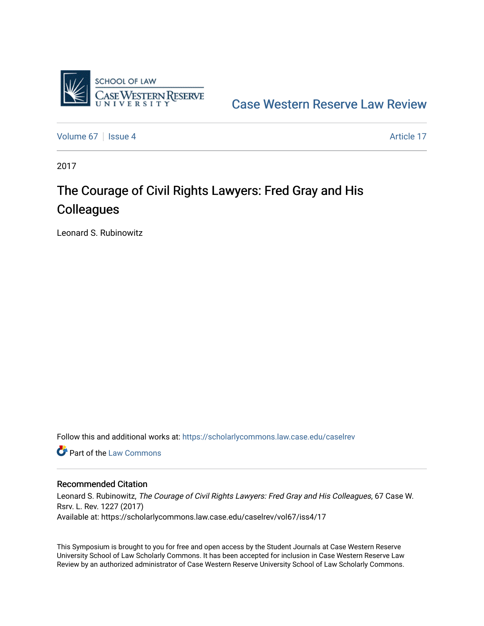

[Case Western Reserve Law Review](https://scholarlycommons.law.case.edu/caselrev) 

[Volume 67](https://scholarlycommons.law.case.edu/caselrev/vol67) | [Issue 4](https://scholarlycommons.law.case.edu/caselrev/vol67/iss4) Article 17

2017

# The Courage of Civil Rights Lawyers: Fred Gray and His **Colleagues**

Leonard S. Rubinowitz

Follow this and additional works at: [https://scholarlycommons.law.case.edu/caselrev](https://scholarlycommons.law.case.edu/caselrev?utm_source=scholarlycommons.law.case.edu%2Fcaselrev%2Fvol67%2Fiss4%2F17&utm_medium=PDF&utm_campaign=PDFCoverPages)

**C** Part of the [Law Commons](http://network.bepress.com/hgg/discipline/578?utm_source=scholarlycommons.law.case.edu%2Fcaselrev%2Fvol67%2Fiss4%2F17&utm_medium=PDF&utm_campaign=PDFCoverPages)

## Recommended Citation

Leonard S. Rubinowitz, The Courage of Civil Rights Lawyers: Fred Gray and His Colleagues, 67 Case W. Rsrv. L. Rev. 1227 (2017) Available at: https://scholarlycommons.law.case.edu/caselrev/vol67/iss4/17

This Symposium is brought to you for free and open access by the Student Journals at Case Western Reserve University School of Law Scholarly Commons. It has been accepted for inclusion in Case Western Reserve Law Review by an authorized administrator of Case Western Reserve University School of Law Scholarly Commons.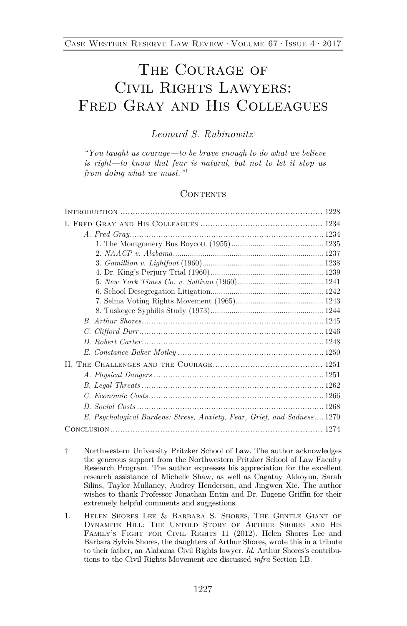## The Courage of Civil Rights Lawyers: Fred Gray and His Colleagues

## *Leonard S. Rubinowitz*[†](#page-1-0)

*"You taught us courage—to be brave enough to do what we believe is right—to know that fear is natural, but not to let it stop us from doing what we must."*[1](#page-1-1)

#### <span id="page-1-2"></span>CONTENTS

| E. Psychological Burdens: Stress, Anxiety, Fear, Grief, and Sadness 1270 |
|--------------------------------------------------------------------------|
|                                                                          |

<span id="page-1-1"></span>1. Helen Shores Lee & Barbara S. Shores, The Gentle Giant of Dynamite Hill: The Untold Story of Arthur Shores and His Family's Fight for Civil Rights 11 (2012). Helen Shores Lee and Barbara Sylvia Shores, the daughters of Arthur Shores, wrote this in a tribute to their father, an Alabama Civil Rights lawyer. *Id.* Arthur Shores's contributions to the Civil Rights Movement are discussed *infra* Section I.B.

<span id="page-1-0"></span><sup>†</sup> Northwestern University Pritzker School of Law. The author acknowledges the generous support from the Northwestern Pritzker School of Law Faculty Research Program. The author expresses his appreciation for the excellent research assistance of Michelle Shaw, as well as Cagatay Akkoyun, Sarah Silins, Taylor Mullaney, Audrey Henderson, and Jingwen Xie. The author wishes to thank Professor Jonathan Entin and Dr. Eugene Griffin for their extremely helpful comments and suggestions.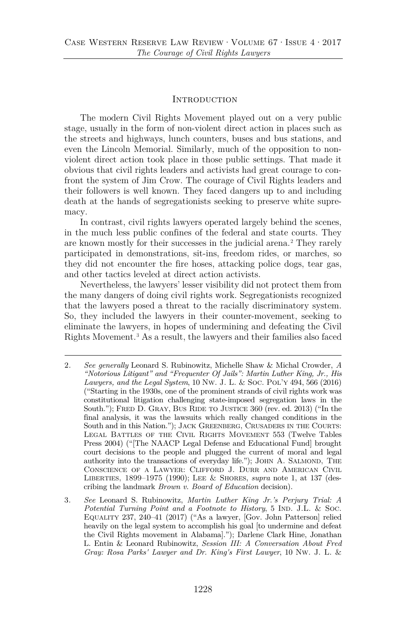## <span id="page-2-2"></span>**INTRODUCTION**

The modern Civil Rights Movement played out on a very public stage, usually in the form of non-violent direct action in places such as the streets and highways, lunch counters, buses and bus stations, and even the Lincoln Memorial. Similarly, much of the opposition to nonviolent direct action took place in those public settings. That made it obvious that civil rights leaders and activists had great courage to confront the system of Jim Crow. The courage of Civil Rights leaders and their followers is well known. They faced dangers up to and including death at the hands of segregationists seeking to preserve white supremacy.

In contrast, civil rights lawyers operated largely behind the scenes, in the much less public confines of the federal and state courts. They are known mostly for their successes in the judicial arena.<sup>[2](#page-2-0)</sup> They rarely participated in demonstrations, sit-ins, freedom rides, or marches, so they did not encounter the fire hoses, attacking police dogs, tear gas, and other tactics leveled at direct action activists.

Nevertheless, the lawyers' lesser visibility did not protect them from the many dangers of doing civil rights work. Segregationists recognized that the lawyers posed a threat to the racially discriminatory system. So, they included the lawyers in their counter-movement, seeking to eliminate the lawyers, in hopes of undermining and defeating the Civil Rights Movement.[3](#page-2-1) As a result, the lawyers and their families also faced

<span id="page-2-3"></span><span id="page-2-0"></span><sup>2</sup>*. See generally* Leonard S. Rubinowitz, Michelle Shaw & Michal Crowder, *A "Notorious Litigant" and "Frequenter Of Jails": Martin Luther King, Jr., His Lawyers, and the Legal System*, 10 Nw. J. L. & Soc. Pol'y 494, 566 (2016) ("Starting in the 1930s, one of the prominent strands of civil rights work was constitutional litigation challenging state-imposed segregation laws in the South."); FRED D. GRAY, BUS RIDE TO JUSTICE 360 (rev. ed. 2013) ("In the final analysis, it was the lawsuits which really changed conditions in the South and in this Nation."); JACK GREENBERG, CRUSADERS IN THE COURTS: Legal Battles of the Civil Rights Movement 553 (Twelve Tables Press 2004) ("[The NAACP Legal Defense and Educational Fund] brought court decisions to the people and plugged the current of moral and legal authority into the transactions of everyday life."); JOHN  $A$ . SALMOND, THE Conscience of a Lawyer: Clifford J. Durr and American Civil Liberties, 1899–1975 (1990); Lee & Shores, *supra* note [1,](#page-1-2) at 137 (describing the landmark *Brown v. Board of Education* decision).

<span id="page-2-1"></span><sup>3</sup>*. See* Leonard S. Rubinowitz, *Martin Luther King Jr.'s Perjury Trial: A Potential Turning Point and a Footnote to History*, 5 IND. J.L. & Soc. Equality 237, 240–41 (2017) ("As a lawyer, [Gov. John Patterson] relied heavily on the legal system to accomplish his goal [to undermine and defeat the Civil Rights movement in Alabama]."); Darlene Clark Hine, Jonathan L. Entin & Leonard Rubinowitz, *Session III: A Conversation About Fred Gray: Rosa Parks' Lawyer and Dr. King's First Lawyer*, 10 Nw. J. L. &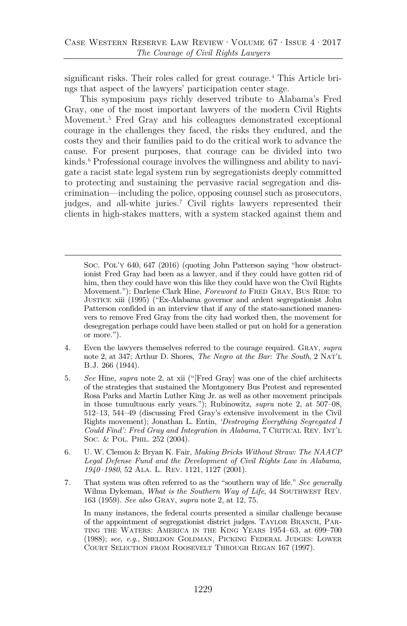<span id="page-3-6"></span>significant risks. Their roles called for great courage.<sup>[4](#page-3-0)</sup> This Article brings that aspect of the lawyers' participation center stage.

<span id="page-3-5"></span>This symposium pays richly deserved tribute to Alabama's Fred Gray, one of the most important lawyers of the modern Civil Rights Movement.<sup>[5](#page-3-1)</sup> Fred Gray and his colleagues demonstrated exceptional courage in the challenges they faced, the risks they endured, and the costs they and their families paid to do the critical work to advance the cause. For present purposes, that courage can be divided into two kinds.<sup>[6](#page-3-2)</sup> Professional courage involves the willingness and ability to navigate a racist state legal system run by segregationists deeply committed to protecting and sustaining the pervasive racial segregation and discrimination—including the police, opposing counsel such as prosecutors, judges, and all-white juries.[7](#page-3-3) Civil rights lawyers represented their clients in high-stakes matters, with a system stacked against them and

- <span id="page-3-0"></span>4. Even the lawyers themselves referred to the courage required. Gray, *supra* note [2,](#page-2-2) at 347; Arthur D. Shores, *The Negro at the Bar: The South*, 2 Nat'l B.J. 266 (1944).
- <span id="page-3-1"></span>5. *See* Hine, *supra* note [2,](#page-2-2) at xii ("[Fred Gray] was one of the chief architects of the strategies that sustained the Montgomery Bus Protest and represented Rosa Parks and Martin Luther King Jr. as well as other movement principals in those tumultuous early years."); Rubinowitz, *supra* note [2,](#page-2-2) at 507–08, 512–13, 544–49 (discussing Fred Gray's extensive involvement in the Civil Rights movement); Jonathan L. Entin, *'Destroying Everything Segregated I Could Find': Fred Gray and Integration in Alabama*, 7 CRITICAL REV. INT'L Soc. & Pol. PHIL. 252 (2004).
- <span id="page-3-2"></span>6. U. W. Clemon & Bryan K. Fair, *Making Bricks Without Straw: The NAACP Legal Defense Fund and the Development of Civil Rights Law in Alabama, 1940–1980*, 52 Ala. L. Rev. 1121, 1127 (2001).
- <span id="page-3-3"></span>7. That system was often referred to as the "southern way of life." *See generally* Wilma Dykeman, *What is the Southern Way of Life*, 44 SOUTHWEST REV. 163 (1959). *See also* Gray, *supra* not[e 2,](#page-2-2) at 12, 75.

In many instances, the federal courts presented a similar challenge because of the appointment of segregationist district judges. Taylor Branch, Parting the Waters: America in the King Years 1954–63, at 699–700 (1988); *see, e.g.*, Sheldon Goldman, Picking Federal Judges: Lower Court Selection from Roosevelt Through Regan 167 (1997).

<span id="page-3-4"></span>Soc. Pol'y 640, 647 (2016) (quoting John Patterson saying "how obstructionist Fred Gray had been as a lawyer, and if they could have gotten rid of him, then they could have won this like they could have won the Civil Rights Movement."); Darlene Clark Hine, *Foreword to* FRED GRAY, BUS RIDE TO Justice xiii (1995) ("Ex-Alabama governor and ardent segregationist John Patterson confided in an interview that if any of the state-sanctioned maneuvers to remove Fred Gray from the city had worked then, the movement for desegregation perhaps could have been stalled or put on hold for a generation or more.").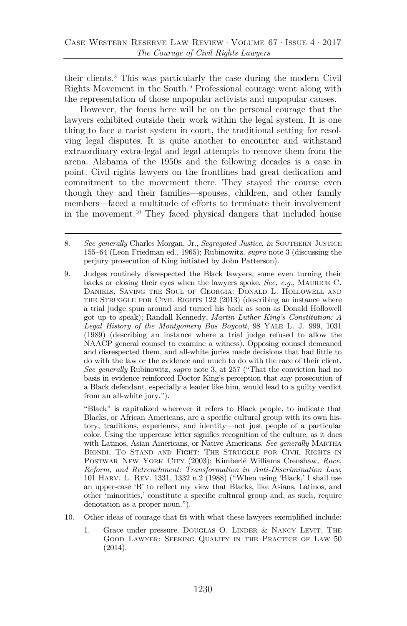<span id="page-4-4"></span>their clients.[8](#page-4-0) This was particularly the case during the modern Civil Rights Movement in the South.[9](#page-4-1) Professional courage went along with the representation of those unpopular activists and unpopular causes.

However, the focus here will be on the personal courage that the lawyers exhibited outside their work within the legal system. It is one thing to face a racist system in court, the traditional setting for resolving legal disputes. It is quite another to encounter and withstand extraordinary extra-legal and legal attempts to remove them from the arena. Alabama of the 1950s and the following decades is a case in point. Civil rights lawyers on the frontlines had great dedication and commitment to the movement there. They stayed the course even though they and their families—spouses, children, and other family members—faced a multitude of efforts to terminate their involvement in the movement.[10](#page-4-2) They faced physical dangers that included house

<span id="page-4-1"></span><span id="page-4-0"></span>9. Judges routinely disrespected the Black lawyers, some even turning their backs or closing their eyes when the lawyers spoke. *See, e.g.*, Maurice C. Daniels, Saving the Soul of Georgia: Donald L. Hollowell and the Struggle for Civil Rights 122 (2013) (describing an instance where a trial judge spun around and turned his back as soon as Donald Hollowell got up to speak); Randall Kennedy, *Martin Luther King's Constitution: A Legal History of the Montgomery Bus Boycott*, 98 Yale L. J. 999, 1031 (1989) (describing an instance where a trial judge refused to allow the NAACP general counsel to examine a witness). Opposing counsel demeaned and disrespected them, and all-white juries made decisions that had little to do with the law or the evidence and much to do with the race of their client. *See generally* Rubinowitz, *supra* note [3,](#page-2-3) at 257 ("That the conviction had no basis in evidence reinforced Doctor King's perception that any prosecution of a Black defendant, especially a leader like him, would lead to a guilty verdict from an all-white jury.").

"Black" is capitalized wherever it refers to Black people, to indicate that Blacks, or African Americans, are a specific cultural group with its own history, traditions, experience, and identity—not just people of a particular color. Using the uppercase letter signifies recognition of the culture, as it does with Latinos, Asian Americans, or Native Americans. *See generally* Martha Biondi, To Stand and Fight: The Struggle for Civil Rights in Postwar New York City (2003); Kimberlé Williams Crenshaw, *Race, Reform, and Retrenchment: Transformation in Anti-Discrimination Law*, 101 Harv. L. Rev. 1331, 1332 n.2 (1988) ("When using 'Black,' I shall use an upper-case 'B' to reflect my view that Blacks, like Asians, Latinos, and other 'minorities,' constitute a specific cultural group and, as such, require denotation as a proper noun.").

- <span id="page-4-2"></span>10. Other ideas of courage that fit with what these lawyers exemplified include:
	- 1. Grace under pressure. DOUGLAS O. LINDER & NANCY LEVIT, THE Good Lawyer: Seeking Quality in the Practice of Law 50 (2014).

<span id="page-4-3"></span><sup>8</sup>*. See generally* Charles Morgan, Jr., *Segregated Justice*, *in* Southern Justice 155–64 (Leon Friedman ed., 1965); Rubinowitz, *supra* not[e 3](#page-2-3) (discussing the perjury prosecution of King initiated by John Patterson).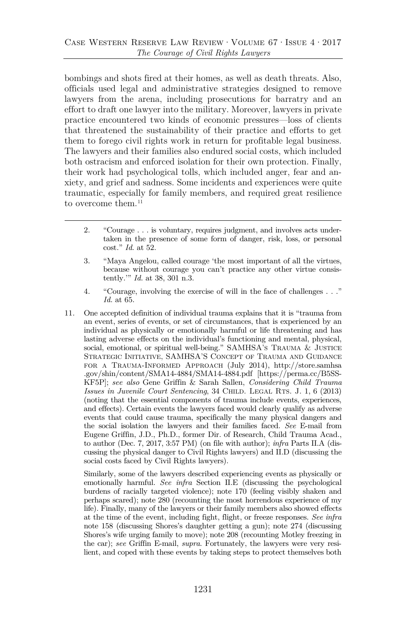bombings and shots fired at their homes, as well as death threats. Also, officials used legal and administrative strategies designed to remove lawyers from the arena, including prosecutions for barratry and an effort to draft one lawyer into the military. Moreover, lawyers in private practice encountered two kinds of economic pressures—loss of clients that threatened the sustainability of their practice and efforts to get them to forego civil rights work in return for profitable legal business. The lawyers and their families also endured social costs, which included both ostracism and enforced isolation for their own protection. Finally, their work had psychological tolls, which included anger, fear and anxiety, and grief and sadness. Some incidents and experiences were quite traumatic, especially for family members, and required great resilience to overcome them.<sup>[11](#page-5-0)</sup>

- 2. "Courage . . . is voluntary, requires judgment, and involves acts undertaken in the presence of some form of danger, risk, loss, or personal cost." *Id.* at 52.
- 3. "Maya Angelou, called courage 'the most important of all the virtues, because without courage you can't practice any other virtue consistently.'" *Id.* at 38, 301 n.3.
- 4. "Courage, involving the exercise of will in the face of challenges . . ." *Id.* at 65.
- <span id="page-5-0"></span>11. One accepted definition of individual trauma explains that it is "trauma from an event, series of events, or set of circumstances, that is experienced by an individual as physically or emotionally harmful or life threatening and has lasting adverse effects on the individual's functioning and mental, physical, social, emotional, or spiritual well-being." SAMHSA's TRAUMA & JUSTICE Strategic Initiative, SAMHSA'S Concept of Trauma and Guidance for a Trauma-Informed Approach (July 2014), http://store.samhsa .gov/shin/content/SMA14-4884/SMA14-4884.pdf [https://perma.cc/B5SS-KF5P]; *see also* Gene Griffin & Sarah Sallen, *Considering Child Trauma Issues in Juvenile Court Sentencing*, 34 CHILD. LEGAL RTS. J. 1, 6 (2013) (noting that the essential components of trauma include events, experiences, and effects). Certain events the lawyers faced would clearly qualify as adverse events that could cause trauma, specifically the many physical dangers and the social isolation the lawyers and their families faced. *See* E-mail from Eugene Griffin, J.D., Ph.D., former Dir. of Research, Child Trauma Acad., to author (Dec. 7, 2017, 3:57 PM) (on file with author); *infra* Parts II.A (discussing the physical danger to Civil Rights lawyers) and II.D (discussing the social costs faced by Civil Rights lawyers).

Similarly, some of the lawyers described experiencing events as physically or emotionally harmful. *See infra* Section II.E (discussing the psychological burdens of racially targeted violence); note [170](#page-30-0) (feeling visibly shaken and perhaps scared); note [280](#page-45-0) (recounting the most horrendous experience of my life). Finally, many of the lawyers or their family members also showed effects at the time of the event, including fight, flight, or freeze responses. *See infra* note [158](#page-29-0) (discussing Shores's daughter getting a gun); note [274](#page-44-0) (discussing Shores's wife urging family to move); note [208](#page-35-0) (recounting Motley freezing in the car); *see* Griffin E-mail, *supra*. Fortunately, the lawyers were very resilient, and coped with these events by taking steps to protect themselves both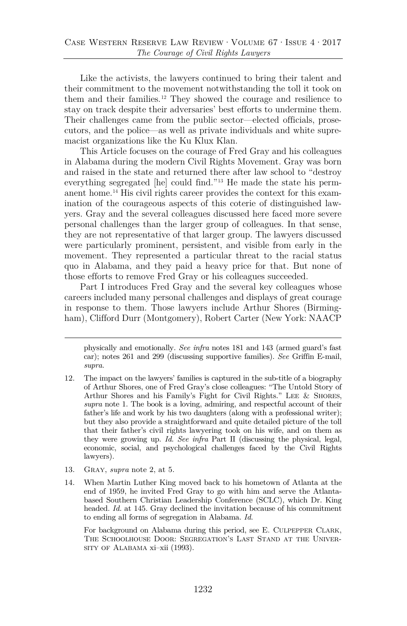Like the activists, the lawyers continued to bring their talent and their commitment to the movement notwithstanding the toll it took on them and their families.[12](#page-6-0) They showed the courage and resilience to stay on track despite their adversaries' best efforts to undermine them. Their challenges came from the public sector—elected officials, prosecutors, and the police—as well as private individuals and white supremacist organizations like the Ku Klux Klan.

<span id="page-6-3"></span>This Article focuses on the courage of Fred Gray and his colleagues in Alabama during the modern Civil Rights Movement. Gray was born and raised in the state and returned there after law school to "destroy everything segregated [he] could find."[13](#page-6-1) He made the state his permanent home.[14](#page-6-2) His civil rights career provides the context for this examination of the courageous aspects of this coterie of distinguished lawyers. Gray and the several colleagues discussed here faced more severe personal challenges than the larger group of colleagues. In that sense, they are not representative of that larger group. The lawyers discussed were particularly prominent, persistent, and visible from early in the movement. They represented a particular threat to the racial status quo in Alabama, and they paid a heavy price for that. But none of those efforts to remove Fred Gray or his colleagues succeeded.

Part I introduces Fred Gray and the several key colleagues whose careers included many personal challenges and displays of great courage in response to them. Those lawyers include Arthur Shores (Birmingham), Clifford Durr (Montgomery), Robert Carter (New York: NAACP

- <span id="page-6-1"></span>13. Gray, *supra* note [2,](#page-2-2) at 5.
- <span id="page-6-2"></span>14. When Martin Luther King moved back to his hometown of Atlanta at the end of 1959, he invited Fred Gray to go with him and serve the Atlantabased Southern Christian Leadership Conference (SCLC), which Dr. King headed. *Id.* at 145. Gray declined the invitation because of his commitment to ending all forms of segregation in Alabama. *Id.*

For background on Alabama during this period, see E. CULPEPPER CLARK, The Schoolhouse Door: Segregation's Last Stand at the University of Alabama xi-xii (1993).

physically and emotionally. *See infra* notes [181](#page-31-0) and [143](#page-27-0) (armed guard's fast car); notes [261](#page-42-0) and [299](#page-47-0) (discussing supportive families). *See* Griffin E-mail, *supra*.

<span id="page-6-0"></span><sup>12.</sup> The impact on the lawyers' families is captured in the sub-title of a biography of Arthur Shores, one of Fred Gray's close colleagues: "The Untold Story of Arthur Shores and his Family's Fight for Civil Rights." Lee & Shores, *supra* note [1.](#page-1-2) The book is a loving, admiring, and respectful account of their father's life and work by his two daughters (along with a professional writer); but they also provide a straightforward and quite detailed picture of the toll that their father's civil rights lawyering took on his wife, and on them as they were growing up. *Id. See infra* Part II (discussing the physical, legal, economic, social, and psychological challenges faced by the Civil Rights lawyers).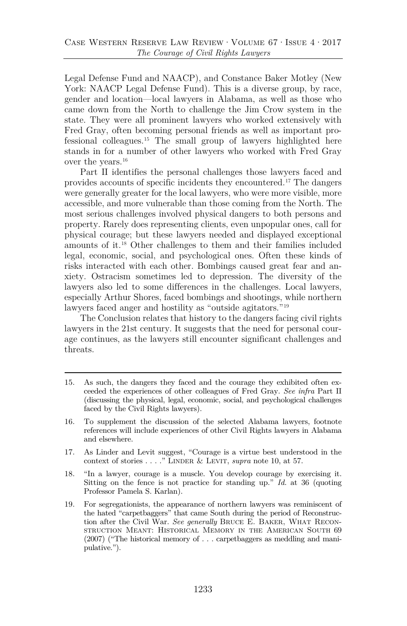Legal Defense Fund and NAACP), and Constance Baker Motley (New York: NAACP Legal Defense Fund). This is a diverse group, by race, gender and location—local lawyers in Alabama, as well as those who came down from the North to challenge the Jim Crow system in the state. They were all prominent lawyers who worked extensively with Fred Gray, often becoming personal friends as well as important professional colleagues.[15](#page-7-0) The small group of lawyers highlighted here stands in for a number of other lawyers who worked with Fred Gray over the years.[16](#page-7-1)

Part II identifies the personal challenges those lawyers faced and provides accounts of specific incidents they encountered.[17](#page-7-2) The dangers were generally greater for the local lawyers, who were more visible, more accessible, and more vulnerable than those coming from the North. The most serious challenges involved physical dangers to both persons and property. Rarely does representing clients, even unpopular ones, call for physical courage; but these lawyers needed and displayed exceptional amounts of it.[18](#page-7-3) Other challenges to them and their families included legal, economic, social, and psychological ones. Often these kinds of risks interacted with each other. Bombings caused great fear and anxiety. Ostracism sometimes led to depression. The diversity of the lawyers also led to some differences in the challenges. Local lawyers, especially Arthur Shores, faced bombings and shootings, while northern lawyers faced anger and hostility as "outside agitators."[19](#page-7-4)

<span id="page-7-5"></span>The Conclusion relates that history to the dangers facing civil rights lawyers in the 21st century. It suggests that the need for personal courage continues, as the lawyers still encounter significant challenges and threats.

<span id="page-7-0"></span><sup>15.</sup> As such, the dangers they faced and the courage they exhibited often exceeded the experiences of other colleagues of Fred Gray. *See infra* Part II (discussing the physical, legal, economic, social, and psychological challenges faced by the Civil Rights lawyers).

<span id="page-7-1"></span><sup>16.</sup> To supplement the discussion of the selected Alabama lawyers, footnote references will include experiences of other Civil Rights lawyers in Alabama and elsewhere.

<span id="page-7-2"></span><sup>17.</sup> As Linder and Levit suggest, "Courage is a virtue best understood in the context of stories . . . ." LINDER & LEVIT, *supra* note [10,](#page-4-3) at 57.

<span id="page-7-3"></span><sup>18.</sup> "In a lawyer, courage is a muscle. You develop courage by exercising it. Sitting on the fence is not practice for standing up." *Id.* at 36 (quoting Professor Pamela S. Karlan).

<span id="page-7-4"></span><sup>19.</sup> For segregationists, the appearance of northern lawyers was reminiscent of the hated "carpetbaggers" that came South during the period of Reconstruction after the Civil War. *See generally* Bruce E. Baker, What Reconstruction Meant: Historical Memory in the American South 69 (2007) ("The historical memory of . . . carpetbaggers as meddling and manipulative.").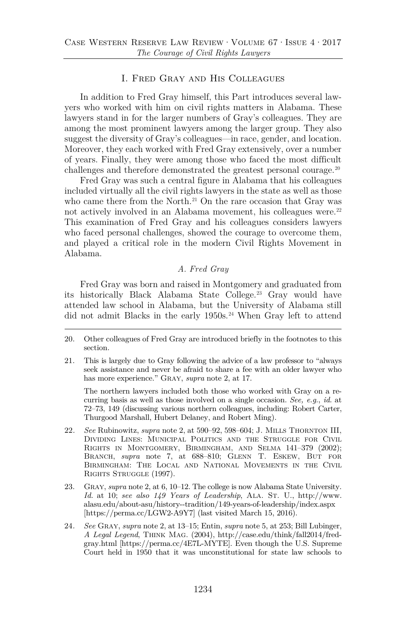#### I. Fred Gray and His Colleagues

In addition to Fred Gray himself, this Part introduces several lawyers who worked with him on civil rights matters in Alabama. These lawyers stand in for the larger numbers of Gray's colleagues. They are among the most prominent lawyers among the larger group. They also suggest the diversity of Gray's colleagues—in race, gender, and location. Moreover, they each worked with Fred Gray extensively, over a number of years. Finally, they were among those who faced the most difficult challenges and therefore demonstrated the greatest personal courage.<sup>[20](#page-8-0)</sup>

Fred Gray was such a central figure in Alabama that his colleagues included virtually all the civil rights lawyers in the state as well as those who came there from the North.<sup>[21](#page-8-1)</sup> On the rare occasion that Gray was not actively involved in an Alabama movement, his colleagues were.<sup>[22](#page-8-2)</sup> This examination of Fred Gray and his colleagues considers lawyers who faced personal challenges, showed the courage to overcome them, and played a critical role in the modern Civil Rights Movement in Alabama.

#### <span id="page-8-4"></span>*A. Fred Gray*

Fred Gray was born and raised in Montgomery and graduated from its historically Black Alabama State College.<sup>[23](#page-8-3)</sup> Gray would have attended law school in Alabama, but the University of Alabama still did not admit Blacks in the early 1950s.<sup>[24](#page-9-0)</sup> When Gray left to attend

<span id="page-8-0"></span>21. This is largely due to Gray following the advice of a law professor to "always seek assistance and never be afraid to share a fee with an older lawyer who has more experience." Gray, *supra* not[e 2,](#page-2-2) at 17.

The northern lawyers included both those who worked with Gray on a recurring basis as well as those involved on a single occasion. *See, e.g.*, *id.* at 72–73, 149 (discussing various northern colleagues, including: Robert Carter, Thurgood Marshall, Hubert Delaney, and Robert Ming).

- <span id="page-8-1"></span>22*. See* Rubinowitz, *supra* note [2,](#page-2-2) at 590–92, 598–604; J. Mills Thornton III, Dividing Lines: Municipal Politics and the Struggle for Civil Rights in Montgomery, Birmingham, and Selma 141–379 (2002); BRANCH, *supra* note [7,](#page-3-4) at 688–810; GLENN T. ESKEW, BUT FOR Birmingham: The Local and National Movements in the Civil RIGHTS STRUGGLE (1997).
- <span id="page-8-2"></span>23. Gray, *supra* not[e 2,](#page-2-2) at 6, 10–12. The college is now Alabama State University. Id. at 10; see also 149 Years of Leadership, ALA. ST. U., http://www. alasu.edu/about-asu/history--tradition/149-years-of-leadership/index.aspx [https://perma.cc/LGW2-A9Y7] (last visited March 15, 2016).
- <span id="page-8-3"></span>24*. See* Gray, *supra* note [2,](#page-2-2) at 13–15; Entin, *supra* not[e 5,](#page-3-5) at 253; Bill Lubinger, *A Legal Legend*, Think Mag. (2004), http://case.edu/think/fall2014/fredgray.html [https://perma.cc/4E7L-MYTE]. Even though the U.S. Supreme Court held in 1950 that it was unconstitutional for state law schools to

<sup>20.</sup> Other colleagues of Fred Gray are introduced briefly in the footnotes to this section.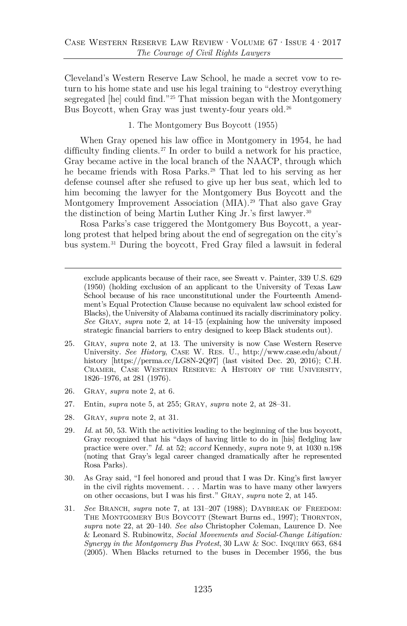Cleveland's Western Reserve Law School, he made a secret vow to return to his home state and use his legal training to "destroy everything segregated [he] could find."[25](#page-9-1) That mission began with the Montgomery Bus Boycott, when Gray was just twenty-four years old.<sup>26</sup>

1. The Montgomery Bus Boycott (1955)

When Gray opened his law office in Montgomery in 1954, he had difficulty finding clients.<sup>[27](#page-9-3)</sup> In order to build a network for his practice, Gray became active in the local branch of the NAACP, through which he became friends with Rosa Parks.[28](#page-9-4) That led to his serving as her defense counsel after she refused to give up her bus seat, which led to him becoming the lawyer for the Montgomery Bus Boycott and the Montgomery Improvement Association (MIA).<sup>[29](#page-9-5)</sup> That also gave Gray the distinction of being Martin Luther King Jr.'s first lawyer.<sup>[30](#page-9-6)</sup>

Rosa Parks's case triggered the Montgomery Bus Boycott, a yearlong protest that helped bring about the end of segregation on the city's bus system.[31](#page-10-0) During the boycott, Fred Gray filed a lawsuit in federal

<span id="page-9-7"></span>exclude applicants because of their race, see Sweatt v. Painter, 339 U.S. 629 (1950) (holding exclusion of an applicant to the University of Texas Law School because of his race unconstitutional under the Fourteenth Amendment's Equal Protection Clause because no equivalent law school existed for Blacks), the University of Alabama continued its racially discriminatory policy. *See* Gray, *supra* note [2,](#page-2-2) at 14–15 (explaining how the university imposed strategic financial barriers to entry designed to keep Black students out).

- <span id="page-9-0"></span>25. Gray, *supra* note [2,](#page-2-2) at 13. The university is now Case Western Reserve University. *See History*, Case W. Res. U., http://www.case.edu/about/ history [https://perma.cc/LG8N-2Q97] (last visited Dec. 20, 2016); C.H. Cramer, Case Western Reserve: A History of the University, 1826–1976, at 281 (1976).
- <span id="page-9-1"></span>26. Gray, *supra* note [2,](#page-2-2) at 6.
- 27. Entin, *supra* note [5,](#page-3-5) at 255; Gray, *supra* note [2,](#page-2-2) at 28–31.
- 28. Gray, *supra* note [2,](#page-2-2) at 31.
- <span id="page-9-3"></span><span id="page-9-2"></span>29*. Id.* at 50, 53. With the activities leading to the beginning of the bus boycott, Gray recognized that his "days of having little to do in [his] fledgling law practice were over." *Id.* at 52; *accord* Kennedy, *supra* note [9,](#page-4-4) at 1030 n.198 (noting that Gray's legal career changed dramatically after he represented Rosa Parks).
- <span id="page-9-5"></span><span id="page-9-4"></span>30. As Gray said, "I feel honored and proud that I was Dr. King's first lawyer in the civil rights movement. . . . Martin was to have many other lawyers on other occasions, but I was his first." Gray, *supra* note [2,](#page-2-2) at 145.
- <span id="page-9-6"></span>31*. See* Branch, *supra* note [7,](#page-3-4) at 131–207 (1988); Daybreak of Freedom: THE MONTGOMERY BUS BOYCOTT (Stewart Burns ed., 1997); THORNTON, *supra* note [22,](#page-8-4) at 20–140. *See also* Christopher Coleman, Laurence D. Nee & Leonard S. Rubinowitz, *Social Movements and Social-Change Litigation: Synergy in the Montgomery Bus Protest*, 30 LAW & Soc. INQUIRY 663, 684 (2005). When Blacks returned to the buses in December 1956, the bus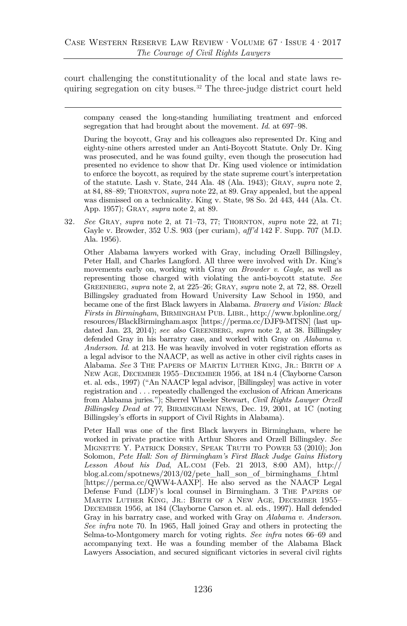court challenging the constitutionality of the local and state laws requiring segregation on city buses.[32](#page-10-1) The three-judge district court held

<span id="page-10-2"></span>company ceased the long-standing humiliating treatment and enforced segregation that had brought about the movement. *Id.* at 697–98.

<span id="page-10-0"></span>During the boycott, Gray and his colleagues also represented Dr. King and eighty-nine others arrested under an Anti-Boycott Statute. Only Dr. King was prosecuted, and he was found guilty, even though the prosecution had presented no evidence to show that Dr. King used violence or intimidation to enforce the boycott, as required by the state supreme court's interpretation of the statute. Lash v. State, 244 Ala. 48 (Ala. 1943); Gray, *supra* note [2,](#page-2-2) at 84, 88–89; Thornton, *supra* not[e 22,](#page-8-4) at 89. Gray appealed, but the appeal was dismissed on a technicality. King v. State, 98 So. 2d 443, 444 (Ala. Ct. App. 1957); Gray, *supra* note [2,](#page-2-2) at 89.

32*. See* Gray, *supra* note [2,](#page-2-2) at 71–73, 77; Thornton, *supra* note [22,](#page-8-4) at 71; Gayle v. Browder, 352 U.S. 903 (per curiam), *aff'd* 142 F. Supp. 707 (M.D. Ala. 1956).

<span id="page-10-1"></span>Other Alabama lawyers worked with Gray, including Orzell Billingsley, Peter Hall, and Charles Langford. All three were involved with Dr. King's movements early on, working with Gray on *Browder v. Gayle*, as well as representing those charged with violating the anti-boycott statute. *See*  Greenberg, *supra* not[e 2,](#page-2-2) at 225–26; Gray, *supra* not[e 2,](#page-2-2) at 72, 88. Orzell Billingsley graduated from Howard University Law School in 1950, and became one of the first Black lawyers in Alabama. *Bravery and Vision: Black Firsts in Birmingham*, Birmingham Pub. Libr., http://www.bplonline.org/ resources/BlackBirmingham.aspx [https://perma.cc/DJF9-MTSN] (last updated Jan. 23, 2014); *see also* Greenberg, *supra* note [2,](#page-2-2) at 38. Billingsley defended Gray in his barratry case, and worked with Gray on *Alabama v. Anderson*. *Id.* at 213. He was heavily involved in voter registration efforts as a legal advisor to the NAACP, as well as active in other civil rights cases in Alabama. *See* 3 The Papers of Martin Luther King, Jr.: Birth of a New Age, December 1955–December 1956, at 184 n.4 (Clayborne Carson et. al. eds., 1997) ("An NAACP legal advisor, [Billingsley] was active in voter registration and . . . repeatedly challenged the exclusion of African Americans from Alabama juries."); Sherrel Wheeler Stewart, *Civil Rights Lawyer Orzell Billingsley Dead at 77*, Birmingham News, Dec. 19, 2001, at 1C (noting Billingsley's efforts in support of Civil Rights in Alabama).

Peter Hall was one of the first Black lawyers in Birmingham, where he worked in private practice with Arthur Shores and Orzell Billingsley. *See* Mignette Y. Patrick Dorsey, Speak Truth to Power 53 (2010); Jon Solomon, *Pete Hall: Son of Birmingham's First Black Judge Gains History Lesson About his Dad*, AL.com (Feb. 21 2013, 8:00 AM), http:// blog.al.com/spotnews/2013/02/pete\_hall\_son\_of\_birminghams\_f.html [https://perma.cc/QWW4-AAXP]. He also served as the NAACP Legal Defense Fund (LDF)'s local counsel in Birmingham. 3 The Papers of Martin Luther King, Jr.: Birth of a New Age, December 1955– December 1956, at 184 (Clayborne Carson et. al. eds., 1997). Hall defended Gray in his barratry case, and worked with Gray on *Alabama v. Anderson*. *See infra* note [70.](#page-18-0) In 1965, Hall joined Gray and others in protecting the Selma-to-Montgomery march for voting rights. *See infra* notes [66](#page-17-0)[–69](#page-17-1) and accompanying text. He was a founding member of the Alabama Black Lawyers Association, and secured significant victories in several civil rights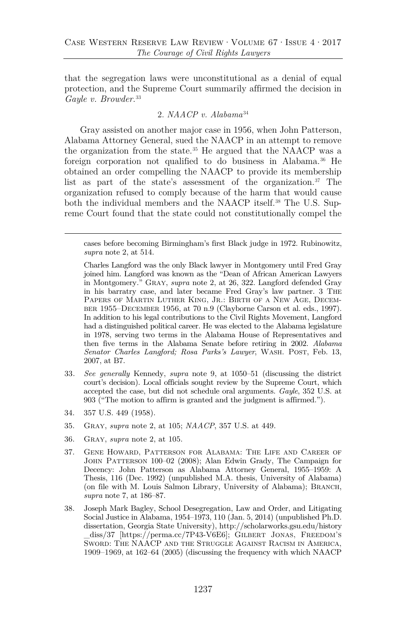that the segregation laws were unconstitutional as a denial of equal protection, and the Supreme Court summarily affirmed the decision in *Gayle v. Browder*. [33](#page-11-0)

#### <span id="page-11-6"></span><span id="page-11-5"></span>2. *NAACP v. Alabama*[34](#page-11-1)

Gray assisted on another major case in 1956, when John Patterson, Alabama Attorney General, sued the NAACP in an attempt to remove the organization from the state.[35](#page-11-2) He argued that the NAACP was a foreign corporation not qualified to do business in Alabama.<sup>[36](#page-11-3)</sup> He obtained an order compelling the NAACP to provide its membership list as part of the state's assessment of the organization[.37](#page-11-4) The organization refused to comply because of the harm that would cause both the individual members and the NAACP itself.<sup>[38](#page-12-0)</sup> The U.S. Supreme Court found that the state could not constitutionally compel the

- 33*. See generally* Kennedy, *supra* note [9,](#page-4-4) at 1050–51 (discussing the district court's decision). Local officials sought review by the Supreme Court, which accepted the case, but did not schedule oral arguments. *Gayle*, 352 U.S. at 903 ("The motion to affirm is granted and the judgment is affirmed.").
- 34. 357 U.S. 449 (1958).
- 35. Gray, *supra* note [2,](#page-2-2) at 105; *NAACP*, 357 U.S. at 449.
- <span id="page-11-0"></span>36. Gray, *supra* note [2,](#page-2-2) at 105.
- 37. Gene Howard, Patterson for Alabama: The Life and Career of John Patterson 100–02 (2008); Alan Edwin Grady, The Campaign for Decency: John Patterson as Alabama Attorney General, 1955–1959: A Thesis, 116 (Dec. 1992) (unpublished M.A. thesis, University of Alabama) (on file with M. Louis Salmon Library, University of Alabama); Branch, *supra* note [7,](#page-3-4) at 186–87.
- <span id="page-11-4"></span><span id="page-11-3"></span><span id="page-11-2"></span><span id="page-11-1"></span>38. Joseph Mark Bagley, School Desegregation, Law and Order, and Litigating Social Justice in Alabama, 1954–1973, 110 (Jan. 5, 2014) (unpublished Ph.D. dissertation, Georgia State University), http://scholarworks.gsu.edu/history \_diss/37 [https://perma.cc/7P43-V6E6]; Gilbert Jonas, Freedom's Sword: The NAACP and the Struggle Against Racism in America, 1909–1969, at 162–64 (2005) (discussing the frequency with which NAACP

cases before becoming Birmingham's first Black judge in 1972. Rubinowitz, *supra* note [2,](#page-2-2) at 514.

Charles Langford was the only Black lawyer in Montgomery until Fred Gray joined him. Langford was known as the "Dean of African American Lawyers in Montgomery." Gray, *supra* note [2,](#page-2-2) at 26, 322. Langford defended Gray in his barratry case, and later became Fred Gray's law partner. 3 The Papers of Martin Luther King, Jr.: Birth of a New Age, December 1955–December 1956, at 70 n.9 (Clayborne Carson et al. eds., 1997). In addition to his legal contributions to the Civil Rights Movement, Langford had a distinguished political career. He was elected to the Alabama legislature in 1978, serving two terms in the Alabama House of Representatives and then five terms in the Alabama Senate before retiring in 2002. *Alabama Senator Charles Langford; Rosa Parks's Lawyer*, WASH. POST, Feb. 13, 2007, at B7.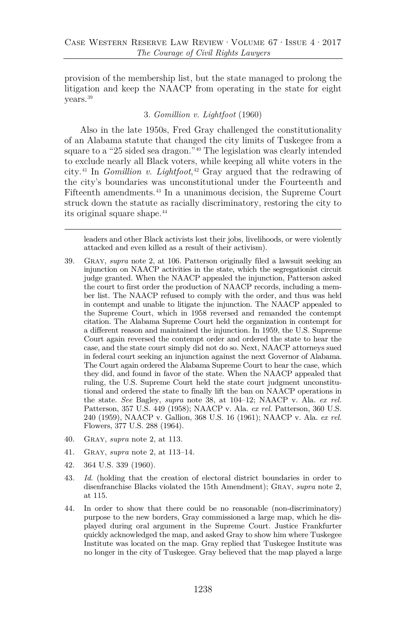provision of the membership list, but the state managed to prolong the litigation and keep the NAACP from operating in the state for eight years.[39](#page-12-1)

#### 3. *Gomillion v. Lightfoot* (1960)

Also in the late 1950s, Fred Gray challenged the constitutionality of an Alabama statute that changed the city limits of Tuskegee from a square to a "25 sided sea dragon."[40](#page-12-2) The legislation was clearly intended to exclude nearly all Black voters, while keeping all white voters in the city.[41](#page-12-3) In *Gomillion v. Lightfoot*, [42](#page-12-4) Gray argued that the redrawing of the city's boundaries was unconstitutional under the Fourteenth and Fifteenth amendments.[43](#page-13-0) In a unanimous decision, the Supreme Court struck down the statute as racially discriminatory, restoring the city to its original square shape.<sup>44</sup>

leaders and other Black activists lost their jobs, livelihoods, or were violently attacked and even killed as a result of their activism).

- <span id="page-12-1"></span><span id="page-12-0"></span>39. Gray, *supra* note [2,](#page-2-2) at 106. Patterson originally filed a lawsuit seeking an injunction on NAACP activities in the state, which the segregationist circuit judge granted. When the NAACP appealed the injunction, Patterson asked the court to first order the production of NAACP records, including a member list. The NAACP refused to comply with the order, and thus was held in contempt and unable to litigate the injunction. The NAACP appealed to the Supreme Court, which in 1958 reversed and remanded the contempt citation. The Alabama Supreme Court held the organization in contempt for a different reason and maintained the injunction. In 1959, the U.S. Supreme Court again reversed the contempt order and ordered the state to hear the case, and the state court simply did not do so. Next, NAACP attorneys sued in federal court seeking an injunction against the next Governor of Alabama. The Court again ordered the Alabama Supreme Court to hear the case, which they did, and found in favor of the state. When the NAACP appealed that ruling, the U.S. Supreme Court held the state court judgment unconstitutional and ordered the state to finally lift the ban on NAACP operations in the state. *See* Bagley, *supra* note [38,](#page-11-5) at 104–12; NAACP v. Ala. *ex rel.* Patterson, 357 U.S. 449 (1958); NAACP v. Ala. *ex rel.* Patterson, 360 U.S. 240 (1959), NAACP v. Gallion, 368 U.S. 16 (1961); NAACP v. Ala. *ex rel.* Flowers, 377 U.S. 288 (1964).
- 40. Gray, *supra* note [2,](#page-2-2) at 113.
- 41. Gray, *supra* note [2,](#page-2-2) at 113–14.
- 42. 364 U.S. 339 (1960).
- 43. *Id.* (holding that the creation of electoral district boundaries in order to disenfranchise Blacks violated the 15th Amendment); Gray, *supra* note [2,](#page-2-2) at 115.
- <span id="page-12-4"></span><span id="page-12-3"></span><span id="page-12-2"></span>44. In order to show that there could be no reasonable (non-discriminatory) purpose to the new borders, Gray commissioned a large map, which he displayed during oral argument in the Supreme Court. Justice Frankfurter quickly acknowledged the map, and asked Gray to show him where Tuskegee Institute was located on the map. Gray replied that Tuskegee Institute was no longer in the city of Tuskegee. Gray believed that the map played a large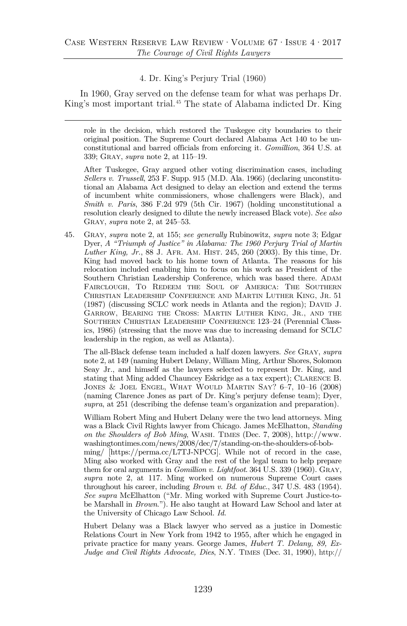#### <span id="page-13-3"></span>4. Dr. King's Perjury Trial (1960)

In 1960, Gray served on the defense team for what was perhaps Dr. King's most important trial.[45](#page-13-2) The state of Alabama indicted Dr. King

role in the decision, which restored the Tuskegee city boundaries to their original position. The Supreme Court declared Alabama Act 140 to be unconstitutional and barred officials from enforcing it. *Gomillion*, 364 U.S. at 339; Gray, *supra* note [2,](#page-2-2) at 115–19.

<span id="page-13-0"></span>After Tuskegee, Gray argued other voting discrimination cases, including *Sellers v. Trussell*, 253 F. Supp. 915 (M.D. Ala. 1966) (declaring unconstitutional an Alabama Act designed to delay an election and extend the terms of incumbent white commissioners, whose challengers were Black), and *Smith v. Paris*, 386 F.2d 979 (5th Cir. 1967) (holding unconstitutional a resolution clearly designed to dilute the newly increased Black vote). *See also* Gray, *supra* note [2,](#page-2-2) at 245–53.

<span id="page-13-1"></span>45. Gray, *supra* note [2,](#page-2-2) at 155; *see generally* Rubinowitz, *supra* note [3;](#page-2-3) Edgar Dyer, *A "Triumph of Justice" in Alabama: The 1960 Perjury Trial of Martin Luther King, Jr.*, 88 J. Afr. Am. Hist. 245, 260 (2003). By this time, Dr. King had moved back to his home town of Atlanta. The reasons for his relocation included enabling him to focus on his work as President of the Southern Christian Leadership Conference, which was based there. ADAM Fairclough, To Redeem the Soul of America: The Southern Christian Leadership Conference and Martin Luther King, Jr. 51  $(1987)$  (discussing SCLC work needs in Atlanta and the region); DAVID J. Garrow, Bearing the Cross: Martin Luther King, Jr., and the Southern Christian Leadership Conference 123–24 (Perennial Classics, 1986) (stressing that the move was due to increasing demand for SCLC leadership in the region, as well as Atlanta).

<span id="page-13-2"></span>The all-Black defense team included a half dozen lawyers. *See* Gray, *supra*  not[e 2,](#page-2-2) at 149 (naming Hubert Delany, William Ming, Arthur Shores, Solomon Seay Jr., and himself as the lawyers selected to represent Dr. King, and stating that Ming added Chauncey Eskridge as a tax expert); Clarence B. Jones & Joel Engel, What Would Martin Say? 6–7, 10–16 (2008) (naming Clarence Jones as part of Dr. King's perjury defense team); Dyer, *supra*, at 251 (describing the defense team's organization and preparation).

William Robert Ming and Hubert Delany were the two lead attorneys. Ming was a Black Civil Rights lawyer from Chicago. James McElhatton, *Standing on the Shoulders of Bob Ming*, Wash. Times (Dec. 7, 2008), http://www. washingtontimes.com/news/2008/dec/7/standing-on-the-shoulders-of-bobming/ [https://perma.cc/L7TJ-NPCG]. While not of record in the case, Ming also worked with Gray and the rest of the legal team to help prepare them for oral arguments in *Gomillion v. Lightfoot*. 364 U.S. 339 (1960). Gray, *supra* note [2,](#page-2-2) at 117. Ming worked on numerous Supreme Court cases throughout his career, including *Brown v. Bd. of Educ.*, 347 U.S. 483 (1954). *See supra* McElhatton ("Mr. Ming worked with Supreme Court Justice-tobe Marshall in *Brown*."). He also taught at Howard Law School and later at the University of Chicago Law School. *Id.*

Hubert Delany was a Black lawyer who served as a justice in Domestic Relations Court in New York from 1942 to 1955, after which he engaged in private practice for many years. George James, *Hubert T. Delany, 89, Ex-Judge and Civil Rights Advocate, Dies*, N.Y. Times (Dec. 31, 1990), http://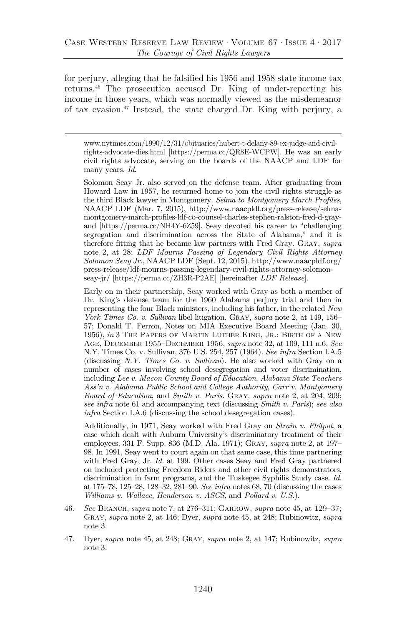for perjury, alleging that he falsified his 1956 and 1958 state income tax returns.[46](#page-15-0) The prosecution accused Dr. King of under-reporting his income in those years, which was normally viewed as the misdemeanor of tax evasion[.47](#page-15-1) Instead, the state charged Dr. King with perjury, a

www.nytimes.com/1990/12/31/obituaries/hubert-t-delany-89-ex-judge-and-civilrights-advocate-dies.html [https://perma.cc/QR8E-WCPW]. He was an early civil rights advocate, serving on the boards of the NAACP and LDF for many years. *Id.*

Solomon Seay Jr. also served on the defense team. After graduating from Howard Law in 1957, he returned home to join the civil rights struggle as the third Black lawyer in Montgomery. *Selma to Montgomery March Profiles*, NAACP LDF (Mar. 7, 2015), http://www.naacpldf.org/press-release/selmamontgomery-march-profiles-ldf-co-counsel-charles-stephen-ralston-fred-d-grayand [https://perma.cc/NH4Y-6Z59]. Seay devoted his career to "challenging segregation and discrimination across the State of Alabama," and it is therefore fitting that he became law partners with Fred Gray. Gray, *supra* note [2,](#page-2-2) at 28; *LDF Mourns Passing of Legendary Civil Rights Attorney Solomon Seay Jr.*, NAACP LDF (Sept. 12, 2015), http://www.naacpldf.org/ press-release/ldf-mourns-passing-legendary-civil-rights-attorney-solomonseay-jr/ [https://perma.cc/ZH3R-P2AE] [hereinafter *LDF Release*].

Early on in their partnership, Seay worked with Gray as both a member of Dr. King's defense team for the 1960 Alabama perjury trial and then in representing the four Black ministers, including his father, in the related *New York Times Co. v. Sullivan* libel litigation. Gray, *supra* note [2,](#page-2-2) at 149, 156– 57; Donald T. Ferron, Notes on MIA Executive Board Meeting (Jan. 30, 1956), *in* 3 The Papers of Martin Luther King, Jr.: Birth of a New Age, December 1955–December 1956, *supra* not[e 32,](#page-10-2) at 109, 111 n.6. *See*  N.Y. Times Co. v. Sullivan, 376 U.S. 254, 257 (1964). *See infra* Section I.A.5 (discussing *N.Y. Times Co. v. Sullivan*). He also worked with Gray on a number of cases involving school desegregation and voter discrimination, including *Lee v. Macon County Board of Education*, *Alabama State Teachers Ass'n v. Alabama Public School and College Authority*, *Carr v. Montgomery Board of Education*, and *Smith v. Paris*. Gray, *supra* note [2,](#page-2-2) at 204, 209; *see infra* not[e 61](#page-16-0) and accompanying text (discussing *Smith v. Paris*); *see also infra* Section I.A.6 (discussing the school desegregation cases).

Additionally, in 1971, Seay worked with Fred Gray on *Strain v. Philpot*, a case which dealt with Auburn University's discriminatory treatment of their employees. 331 F. Supp. 836 (M.D. Ala. 1971); Gray, *supra* not[e 2,](#page-2-2) at 197– 98. In 1991, Seay went to court again on that same case, this time partnering with Fred Gray, Jr. *Id.* at 199. Other cases Seay and Fred Gray partnered on included protecting Freedom Riders and other civil rights demonstrators, discrimination in farm programs, and the Tuskegee Syphilis Study case. *Id.* at 175–78, 125–28, 128–32, 281–90. *See infra* notes [68,](#page-17-2) [70](#page-18-0) (discussing the cases *Williams v. Wallace*, *Henderson v. ASCS*, and *Pollard v. U.S.*).

- 46*. See* Branch, *supra* not[e 7,](#page-3-4) at 276–311; Garrow, *supra* note [45,](#page-13-3) at 129–37; Gray, *supra* note [2,](#page-2-2) at 146; Dyer, *supra* note [45,](#page-13-3) at 248; Rubinowitz, *supra*  note [3.](#page-2-3)
- 47. Dyer, *supra* note [45,](#page-13-3) at 248; Gray, *supra* note [2,](#page-2-2) at 147; Rubinowitz, *supra* note [3.](#page-2-3)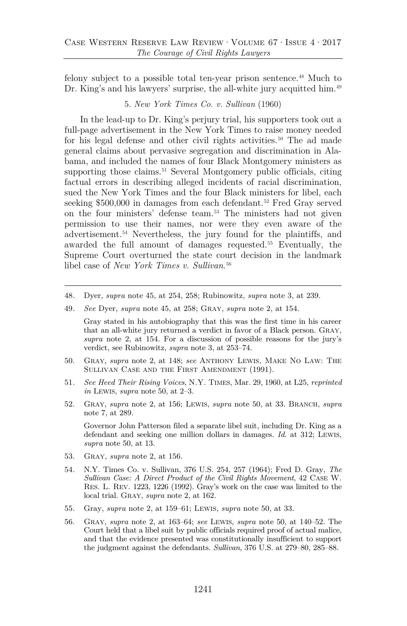felony subject to a possible total ten-year prison sentence.[48](#page-15-3) Much to Dr. King's and his lawyers' surprise, the all-white jury acquitted him.<sup>[49](#page-15-4)</sup>

#### <span id="page-15-2"></span>5. *New York Times Co. v. Sullivan* (1960)

In the lead-up to Dr. King's perjury trial, his supporters took out a full-page advertisement in the New York Times to raise money needed for his legal defense and other civil rights activities.<sup>[50](#page-15-5)</sup> The ad made general claims about pervasive segregation and discrimination in Alabama, and included the names of four Black Montgomery ministers as supporting those claims.<sup>[51](#page-15-6)</sup> Several Montgomery public officials, citing factual errors in describing alleged incidents of racial discrimination, sued the New York Times and the four Black ministers for libel, each seeking \$500,000 in damages from each defendant.<sup>[52](#page-15-7)</sup> Fred Gray served on the four ministers' defense team.[53](#page-15-8) The ministers had not given permission to use their names, nor were they even aware of the advertisement.[54](#page-16-1) Nevertheless, the jury found for the plaintiffs, and awarded the full amount of damages requested.[55](#page-16-2) Eventually, the Supreme Court overturned the state court decision in the landmark libel case of *New York Times v. Sullivan*. [56](#page-16-3)

- 48*.* Dyer, *supra* note [45,](#page-13-3) at 254, 258; Rubinowitz, *supra* note [3,](#page-2-3) at 239.
- <span id="page-15-0"></span>49*. See* Dyer, *supra* note [45,](#page-13-3) at 258; Gray, *supra* note [2,](#page-2-2) at 154.

Gray stated in his autobiography that this was the first time in his career that an all-white jury returned a verdict in favor of a Black person. Gray, *supra* note [2,](#page-2-2) at 154. For a discussion of possible reasons for the jury's verdict, see Rubinowitz, *supra* note [3,](#page-2-3) at 253–74.

- <span id="page-15-1"></span>50. Gray, *supra* note [2,](#page-2-2) at 148; *see* Anthony Lewis, Make No Law: The Sullivan Case and the First Amendment (1991).
- <span id="page-15-3"></span>51*. See Heed Their Rising Voices*, N.Y. Times, Mar. 29, 1960, at L25, *reprinted in* Lewis, *supra* note [50,](#page-15-2) at 2–3.
- <span id="page-15-4"></span>52. Gray, *supra* note [2,](#page-2-2) at 156; Lewis, *supra* note [50,](#page-15-2) at 33. Branch, *supra* note [7,](#page-3-4) at 289.

Governor John Patterson filed a separate libel suit, including Dr. King as a defendant and seeking one million dollars in damages. *Id.* at 312; Lewis, *supra* note [50,](#page-15-2) at 13.

- <span id="page-15-5"></span>53. Gray, *supra* note [2,](#page-2-2) at 156.
- <span id="page-15-6"></span>54. N.Y. Times Co. v. Sullivan, 376 U.S. 254, 257 (1964); Fred D. Gray, *The Sullivan Case: A Direct Product of the Civil Rights Movement*, 42 Case W. Res. L. Rev. 1223, 1226 (1992). Gray's work on the case was limited to the local trial. Gray, *supra* note [2,](#page-2-2) at 162.
- <span id="page-15-7"></span>55. Gray, *supra* note [2,](#page-2-2) at 159–61; Lewis, *supra* note [50,](#page-15-2) at 33.
- <span id="page-15-8"></span>56. Gray, *supra* note [2,](#page-2-2) at 163–64; *see* Lewis, *supra* note [50,](#page-15-2) at 140–52. The Court held that a libel suit by public officials required proof of actual malice, and that the evidence presented was constitutionally insufficient to support the judgment against the defendants. *Sullivan*, 376 U.S. at 279–80, 285–88.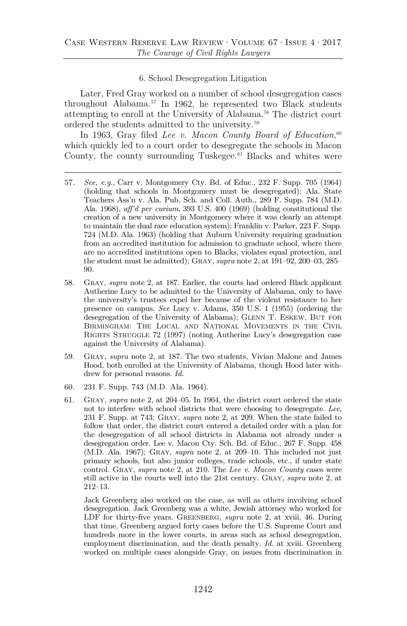#### <span id="page-16-9"></span><span id="page-16-0"></span>6. School Desegregation Litigation

Later, Fred Gray worked on a number of school desegregation cases throughout Alabama.[57](#page-16-4) In 1962, he represented two Black students attempting to enroll at the University of Alabama.[58](#page-16-5) The district court ordered the students admitted to the university.[59](#page-16-6)

In 1963, Gray filed *Lee v. Macon County Board of Education*,<sup>[60](#page-16-7)</sup> which quickly led to a court order to desegregate the schools in Macon County, the county surrounding Tuskegee. $61$  Blacks and whites were

- 57*. See, e.g.*, Carr v. Montgomery Cty. Bd. of Educ., 232 F. Supp. 705 (1964) (holding that schools in Montgomery must be desegregated); Ala. State Teachers Ass'n v. Ala. Pub. Sch. and Coll. Auth., 289 F. Supp. 784 (M.D. Ala. 1968), *aff'd per curium*, 393 U.S. 400 (1969) (holding constitutional the creation of a new university in Montgomery where it was clearly an attempt to maintain the dual race education system); Franklin v. Parker, 223 F. Supp. 724 (M.D. Ala. 1963) (holding that Auburn University requiring graduation from an accredited institution for admission to graduate school, where there are no accredited institutions open to Blacks, violates equal protection, and the student must be admitted); Gray, *supra* note [2,](#page-2-2) at 191–92, 200–03, 285– 90.
- <span id="page-16-3"></span><span id="page-16-2"></span><span id="page-16-1"></span>58. Gray, *supra* note [2,](#page-2-2) at 187. Earlier, the courts had ordered Black applicant Autherine Lucy to be admitted to the University of Alabama, only to have the university's trustees expel her because of the violent resistance to her presence on campus. *See* Lucy v. Adams, 350 U.S. 1 (1955) (ordering the desegregation of the University of Alabama); GLENN T. ESKEW, BUT FOR Birmingham: The Local and National Movements in the Civil RIGHTS STRUGGLE 72 (1997) (noting Autherine Lucy's desegregation case against the University of Alabama).
- <span id="page-16-4"></span>59. Gray, *supra* note [2,](#page-2-2) at 187. The two students, Vivian Malone and James Hood, both enrolled at the University of Alabama, though Hood later withdrew for personal reasons. *Id.*
- 60. 231 F. Supp. 743 (M.D. Ala. 1964).
- <span id="page-16-5"></span>61. Gray, *supra* note [2,](#page-2-2) at 204–05. In 1964, the district court ordered the state not to interfere with school districts that were choosing to desegregate. *Lee*, 231 F. Supp. at 743; Gray, *supra* note [2,](#page-2-2) at 209. When the state failed to follow that order, the district court entered a detailed order with a plan for the desegregation of all school districts in Alabama not already under a desegregation order. Lee v. Macon Cty. Sch. Bd. of Educ., 267 F. Supp. 458 (M.D. Ala. 1967); Gray, *supra* note [2,](#page-2-2) at 209–10. This included not just primary schools, but also junior colleges, trade schools, etc., if under state control. Gray, *supra* note [2,](#page-2-2) at 210. The *Lee v. Macon County* cases were still active in the courts well into the 21st century. Gray, *supra* note [2,](#page-2-2) at 212–13.

<span id="page-16-8"></span><span id="page-16-7"></span><span id="page-16-6"></span>Jack Greenberg also worked on the case, as well as others involving school desegregation. Jack Greenberg was a white, Jewish attorney who worked for LDF for thirty-five years. Greenberg, *supra* note [2,](#page-2-2) at xviii, 46. During that time, Greenberg argued forty cases before the U.S. Supreme Court and hundreds more in the lower courts, in areas such as school desegregation, employment discrimination, and the death penalty. *Id.* at xviii. Greenberg worked on multiple cases alongside Gray, on issues from discrimination in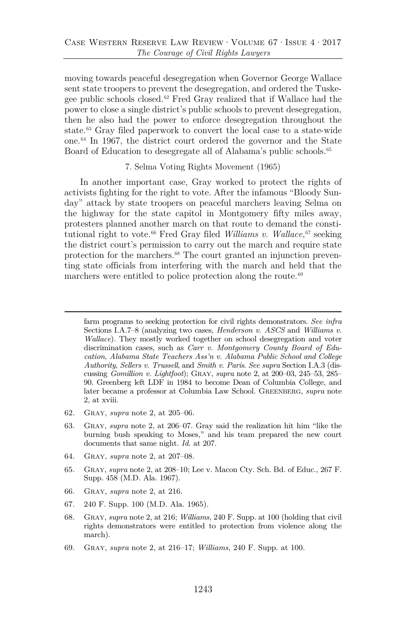moving towards peaceful desegregation when Governor George Wallace sent state troopers to prevent the desegregation, and ordered the Tuskegee public schools closed.[62](#page-17-3) Fred Gray realized that if Wallace had the power to close a single district's public schools to prevent desegregation, then he also had the power to enforce desegregation throughout the state.[63](#page-17-4) Gray filed paperwork to convert the local case to a state-wide one.[64](#page-17-5) In 1967, the district court ordered the governor and the State Board of Education to desegregate all of Alabama's public schools.<sup>[65](#page-17-6)</sup>

#### <span id="page-17-2"></span><span id="page-17-1"></span><span id="page-17-0"></span>7. Selma Voting Rights Movement (1965)

In another important case, Gray worked to protect the rights of activists fighting for the right to vote. After the infamous "Bloody Sunday" attack by state troopers on peaceful marchers leaving Selma on the highway for the state capitol in Montgomery fifty miles away, protesters planned another march on that route to demand the consti-tutional right to vote.<sup>[66](#page-18-1)</sup> Fred Gray filed *Williams v. Wallace*,<sup>[67](#page-18-2)</sup> seeking the district court's permission to carry out the march and require state protection for the marchers.[68](#page-18-3) The court granted an injunction preventing state officials from interfering with the march and held that the marchers were entitled to police protection along the route.<sup>[69](#page-18-4)</sup>

farm programs to seeking protection for civil rights demonstrators. *See infra* Sections I.A.7–8 (analyzing two cases, *Henderson v. ASCS* and *Williams v. Wallace*). They mostly worked together on school desegregation and voter discrimination cases, such as *Carr v. Montgomery County Board of Education*, *Alabama State Teachers Ass'n v. Alabama Public School and College Authority*, *Sellers v. Trussell*, and *Smith v. Paris*. *See supra* Section I.A.3 (discussing *Gomillion v. Lightfoot*); Gray, *supra* note [2,](#page-2-2) at 200–03, 245–53, 285– 90. Greenberg left LDF in 1984 to become Dean of Columbia College, and later became a professor at Columbia Law School. Greenberg, *supra* note [2,](#page-2-2) at xviii.

- 62. Gray, *supra* note [2,](#page-2-2) at 205–06.
- 63. Gray, *supra* note [2,](#page-2-2) at 206–07. Gray said the realization hit him "like the burning bush speaking to Moses," and his team prepared the new court documents that same night. *Id.* at 207.
- 64. Gray, *supra* note [2,](#page-2-2) at 207–08.
- <span id="page-17-3"></span>65. Gray, *supra* not[e 2,](#page-2-2) at 208–10; Lee v. Macon Cty. Sch. Bd. of Educ., 267 F. Supp. 458 (M.D. Ala. 1967).
- <span id="page-17-4"></span>66. Gray, *supra* note [2,](#page-2-2) at 216.
- 67. 240 F. Supp. 100 (M.D. Ala. 1965).
- <span id="page-17-5"></span>68. Gray, *supra* note [2,](#page-2-2) at 216; *Williams*, 240 F. Supp. at 100 (holding that civil rights demonstrators were entitled to protection from violence along the march).

<span id="page-17-6"></span><sup>69.</sup> Gray, *supra* note [2,](#page-2-2) at 216–17; *Williams*, 240 F. Supp. at 100.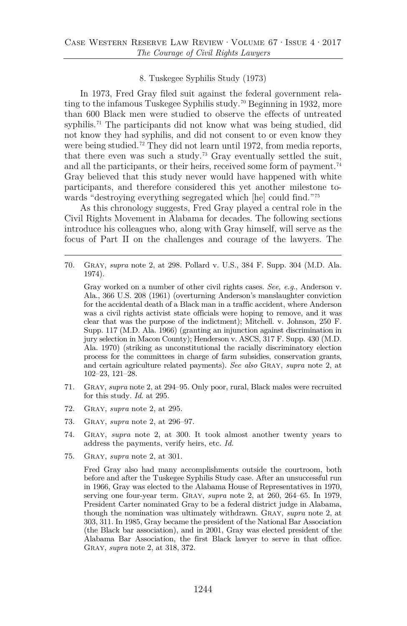#### <span id="page-18-0"></span>8. Tuskegee Syphilis Study (1973)

In 1973, Fred Gray filed suit against the federal government rela-ting to the infamous Tuskegee Syphilis study.<sup>[70](#page-18-5)</sup> Beginning in 1932, more than 600 Black men were studied to observe the effects of untreated syphilis.<sup>[71](#page-18-6)</sup> The participants did not know what was being studied, did not know they had syphilis, and did not consent to or even know they were being studied.<sup>[72](#page-18-7)</sup> They did not learn until 1972, from media reports, that there even was such a study.<sup>[73](#page-18-8)</sup> Gray eventually settled the suit, and all the participants, or their heirs, received some form of payment.<sup>[74](#page-18-9)</sup> Gray believed that this study never would have happened with white participants, and therefore considered this yet another milestone towards "destroying everything segregated which [he] could find."[75](#page-19-0)

As this chronology suggests, Fred Gray played a central role in the Civil Rights Movement in Alabama for decades. The following sections introduce his colleagues who, along with Gray himself, will serve as the focus of Part II on the challenges and courage of the lawyers. The

<span id="page-18-3"></span><span id="page-18-2"></span><span id="page-18-1"></span>70. Gray, *supra* note [2,](#page-2-2) at 298. Pollard v. U.S., 384 F. Supp. 304 (M.D. Ala. 1974).

Gray worked on a number of other civil rights cases. *See, e.g.*, Anderson v. Ala., 366 U.S. 208 (1961) (overturning Anderson's manslaughter conviction for the accidental death of a Black man in a traffic accident, where Anderson was a civil rights activist state officials were hoping to remove, and it was clear that was the purpose of the indictment); Mitchell. v. Johnson, 250 F. Supp. 117 (M.D. Ala. 1966) (granting an injunction against discrimination in jury selection in Macon County); Henderson v. ASCS, 317 F. Supp. 430 (M.D. Ala. 1970) (striking as unconstitutional the racially discriminatory election process for the committees in charge of farm subsidies, conservation grants, and certain agriculture related payments). *See also* Gray, *supra* note [2,](#page-2-2) at 102–23, 121–28.

- <span id="page-18-5"></span><span id="page-18-4"></span>71. Gray, *supra* not[e 2,](#page-2-2) at 294–95. Only poor, rural, Black males were recruited for this study. *Id.* at 295.
- 72. Gray, *supra* note [2,](#page-2-2) at 295.
- 73. Gray, *supra* note [2,](#page-2-2) at 296–97.
- 74. Gray, *supra* note [2,](#page-2-2) at 300. It took almost another twenty years to address the payments, verify heirs, etc. *Id.*
- <span id="page-18-9"></span><span id="page-18-8"></span><span id="page-18-7"></span><span id="page-18-6"></span>75. Gray, *supra* note [2,](#page-2-2) at 301.

Fred Gray also had many accomplishments outside the courtroom, both before and after the Tuskegee Syphilis Study case. After an unsuccessful run in 1966, Gray was elected to the Alabama House of Representatives in 1970, serving one four-year term. Gray, *supra* note [2,](#page-2-2) at 260, 264–65. In 1979, President Carter nominated Gray to be a federal district judge in Alabama, though the nomination was ultimately withdrawn. Gray, *supra* note [2,](#page-2-2) at 303, 311. In 1985, Gray became the president of the National Bar Association (the Black bar association), and in 2001, Gray was elected president of the Alabama Bar Association, the first Black lawyer to serve in that office. Gray, *supra* note [2,](#page-2-2) at 318, 372.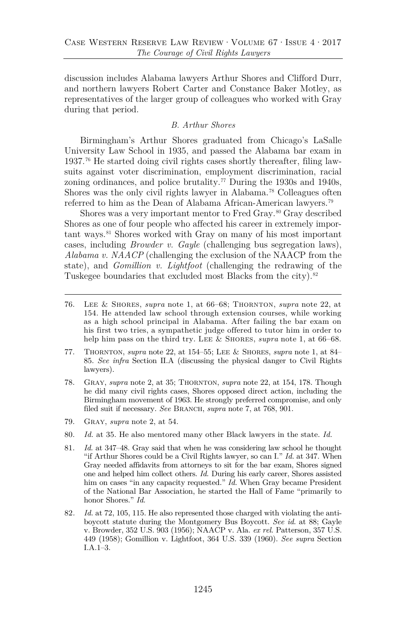discussion includes Alabama lawyers Arthur Shores and Clifford Durr, and northern lawyers Robert Carter and Constance Baker Motley, as representatives of the larger group of colleagues who worked with Gray during that period.

## *B. Arthur Shores*

Birmingham's Arthur Shores graduated from Chicago's LaSalle University Law School in 1935, and passed the Alabama bar exam in 1937.[76](#page-19-1) He started doing civil rights cases shortly thereafter, filing lawsuits against voter discrimination, employment discrimination, racial zoning ordinances, and police brutality.<sup>[77](#page-19-2)</sup> During the 1930s and 1940s, Shores was the only civil rights lawyer in Alabama.[78](#page-19-3) Colleagues often referred to him as the Dean of Alabama African-American lawyers.[79](#page-19-4)

Shores was a very important mentor to Fred Gray.<sup>[80](#page-20-0)</sup> Gray described Shores as one of four people who affected his career in extremely important ways.[81](#page-20-1) Shores worked with Gray on many of his most important cases, including *Browder v. Gayle* (challenging bus segregation laws), *Alabama v. NAACP* (challenging the exclusion of the NAACP from the state), and *Gomillion v. Lightfoot* (challenging the redrawing of the Tuskegee boundaries that excluded most Blacks from the city).<sup>[82](#page-20-2)</sup>

- 78. Gray, *supra* note [2,](#page-2-2) at 35; Thornton, *supra* note [22,](#page-8-4) at 154, 178. Though he did many civil rights cases, Shores opposed direct action, including the Birmingham movement of 1963. He strongly preferred compromise, and only filed suit if necessary. *See* BRANCH, *supra* note [7,](#page-3-4) at 768, 901.
- <span id="page-19-1"></span>79. Gray, *supra* note [2,](#page-2-2) at 54.
- 80. *Id.* at 35. He also mentored many other Black lawyers in the state. *Id.*
- <span id="page-19-2"></span>81. *Id.* at 347–48. Gray said that when he was considering law school he thought "if Arthur Shores could be a Civil Rights lawyer, so can I." *Id.* at 347. When Gray needed affidavits from attorneys to sit for the bar exam, Shores signed one and helped him collect others. *Id.* During his early career, Shores assisted him on cases "in any capacity requested." *Id.* When Gray became President of the National Bar Association, he started the Hall of Fame "primarily to honor Shores." *Id.*
- <span id="page-19-4"></span><span id="page-19-3"></span>82*. Id.* at 72, 105, 115. He also represented those charged with violating the antiboycott statute during the Montgomery Bus Boycott. *See id.* at 88; Gayle v. Browder, 352 U.S. 903 (1956); NAACP v. Ala. *ex rel.* Patterson, 357 U.S. 449 (1958); Gomillion v. Lightfoot, 364 U.S. 339 (1960). *See supra* Section I.A.1–3.

<span id="page-19-0"></span><sup>76.</sup> Lee & Shores, *supra* note [1,](#page-1-2) at 66–68; Thornton, *supra* note [22,](#page-8-4) at 154. He attended law school through extension courses, while working as a high school principal in Alabama. After failing the bar exam on his first two tries, a sympathetic judge offered to tutor him in order to help him pass on the third try. Lee & Shores, *supra* note [1,](#page-1-2) at 66–68.

<sup>77.</sup> Thornton, *supra* note [22,](#page-8-4) at 154–55; Lee & Shores, *supra* not[e 1,](#page-1-2) at 84– 85. *See infra* Section II.A (discussing the physical danger to Civil Rights lawyers).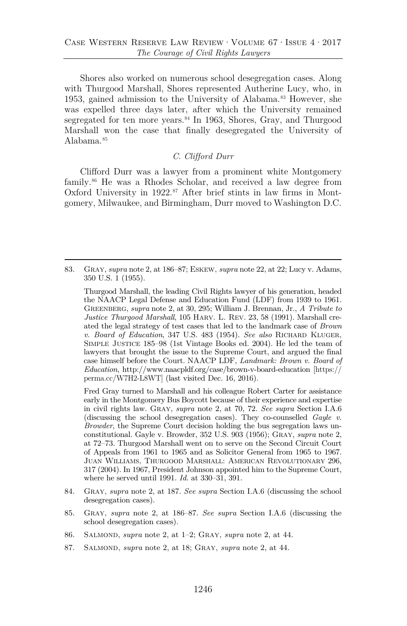Shores also worked on numerous school desegregation cases. Along with Thurgood Marshall, Shores represented Autherine Lucy, who, in 1953, gained admission to the University of Alabama.<sup>[83](#page-20-3)</sup> However, she was expelled three days later, after which the University remained segregated for ten more years.<sup>84</sup> In 1963, Shores, Gray, and Thurgood Marshall won the case that finally desegregated the University of Alabama.[85](#page-21-1)

## <span id="page-20-4"></span>*C. Clifford Durr*

<span id="page-20-0"></span>Clifford Durr was a lawyer from a prominent white Montgomery family[.86](#page-21-2) He was a Rhodes Scholar, and received a law degree from Oxford University in  $1922.^{87}$  $1922.^{87}$  $1922.^{87}$  After brief stints in law firms in Montgomery, Milwaukee, and Birmingham, Durr moved to Washington D.C.

<span id="page-20-3"></span><span id="page-20-2"></span><span id="page-20-1"></span>83. Gray, *supra* not[e 2,](#page-2-2) at 186–87; Eskew, *supra* note [22,](#page-8-4) at 22; Lucy v. Adams, 350 U.S. 1 (1955).

Thurgood Marshall, the leading Civil Rights lawyer of his generation, headed the NAACP Legal Defense and Education Fund (LDF) from 1939 to 1961. Greenberg, *supra* note [2,](#page-2-2) at 30, 295; William J. Brennan, Jr., *A Tribute to Justice Thurgood Marshall*, 105 Harv. L. Rev. 23, 58 (1991). Marshall created the legal strategy of test cases that led to the landmark case of *Brown v. Board of Education*, 347 U.S. 483 (1954). *See also* Richard Kluger, Simple Justice 185–98 (1st Vintage Books ed. 2004). He led the team of lawyers that brought the issue to the Supreme Court, and argued the final case himself before the Court. NAACP LDF, *Landmark: Brown v. Board of Education*, http://www.naacpldf.org/case/brown-v-board-education [https:// perma.cc/W7H2-L8WT] (last visited Dec. 16, 2016).

Fred Gray turned to Marshall and his colleague Robert Carter for assistance early in the Montgomery Bus Boycott because of their experience and expertise in civil rights law. Gray, *supra* note [2,](#page-2-2) at 70, 72. *See supra* Section I.A.6 (discussing the school desegregation cases). They co-counselled *Gayle v. Browder*, the Supreme Court decision holding the bus segregation laws unconstitutional. Gayle v. Browder, 352 U.S. 903 (1956); Gray, *supra* note [2,](#page-2-2) at 72–73. Thurgood Marshall went on to serve on the Second Circuit Court of Appeals from 1961 to 1965 and as Solicitor General from 1965 to 1967. Juan Williams, Thurgood Marshall: American Revolutionary 296, 317 (2004). In 1967, President Johnson appointed him to the Supreme Court, where he served until 1991. *Id.* at 330–31, 391.

- 84. Gray, *supra* note [2,](#page-2-2) at 187. *See supra* Section I.A.6 (discussing the school desegregation cases).
- 85. Gray, *supra* note [2,](#page-2-2) at 186–87. *See supra* Section I.A.6 (discussing the school desegregation cases).
- 86. Salmond, *supra* note [2,](#page-2-2) at 1–2; Gray, *supra* note [2,](#page-2-2) at 44.
- 87. Salmond, *supra* note [2,](#page-2-2) at 18; Gray, *supra* note [2,](#page-2-2) at 44.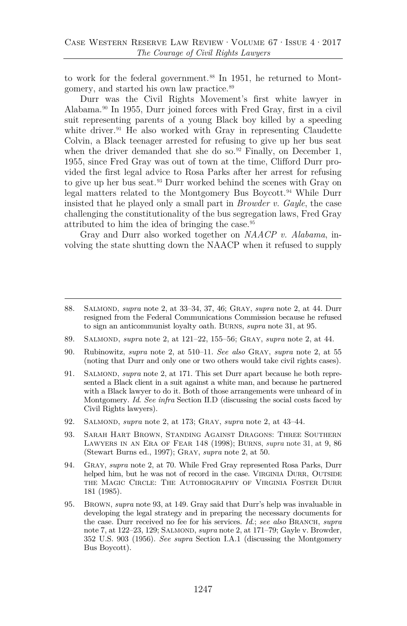to work for the federal government.<sup>[88](#page-21-5)</sup> In 1951, he returned to Montgomery, and started his own law practice.[89](#page-21-6)

<span id="page-21-13"></span>Durr was the Civil Rights Movement's first white lawyer in Alabama.[90](#page-21-7) In 1955, Durr joined forces with Fred Gray, first in a civil suit representing parents of a young Black boy killed by a speeding white driver.<sup>[91](#page-21-8)</sup> He also worked with Gray in representing Claudette Colvin, a Black teenager arrested for refusing to give up her bus seat when the driver demanded that she do so.<sup>[92](#page-21-9)</sup> Finally, on December 1, 1955, since Fred Gray was out of town at the time, Clifford Durr provided the first legal advice to Rosa Parks after her arrest for refusing to give up her bus seat.[93](#page-21-10) Durr worked behind the scenes with Gray on legal matters related to the Montgomery Bus Boycott.[94](#page-21-11) While Durr insisted that he played only a small part in *Browder v. Gayle*, the case challenging the constitutionality of the bus segregation laws, Fred Gray attributed to him the idea of bringing the case.[95](#page-22-0)

<span id="page-21-12"></span><span id="page-21-4"></span>Gray and Durr also worked together on *NAACP v. Alabama*, involving the state shutting down the NAACP when it refused to supply

- <span id="page-21-1"></span>89. Salmond, *supra* note [2,](#page-2-2) at 121–22, 155–56; Gray, *supra* note [2,](#page-2-2) at 44.
- <span id="page-21-2"></span>90. Rubinowitz, *supra* note [2,](#page-2-2) at 510–11. *See also* Gray, *supra* note [2,](#page-2-2) at 55 (noting that Durr and only one or two others would take civil rights cases).
- <span id="page-21-5"></span><span id="page-21-3"></span>91. Salmond, *supra* note [2,](#page-2-2) at 171. This set Durr apart because he both represented a Black client in a suit against a white man, and because he partnered with a Black lawyer to do it. Both of those arrangements were unheard of in Montgomery. *Id. See infra* Section II.D (discussing the social costs faced by Civil Rights lawyers).
- <span id="page-21-7"></span><span id="page-21-6"></span>92. Salmond, *supra* note [2,](#page-2-2) at 173; Gray, *supra* note [2,](#page-2-2) at 43–44.
- <span id="page-21-8"></span>93. Sarah Hart Brown, Standing Against Dragons: Three Southern Lawyers in an Era of Fear 148 (1998); Burns, *supra* note [31,](#page-9-7) at 9, 86 (Stewart Burns ed., 1997); Gray, *supra* note [2,](#page-2-2) at 50.
- 94. Gray, *supra* note [2,](#page-2-2) at 70. While Fred Gray represented Rosa Parks, Durr helped him, but he was not of record in the case. VIRGINIA DURR, OUTSIDE the Magic Circle: The Autobiography of Virginia Foster Durr 181 (1985).
- <span id="page-21-11"></span><span id="page-21-10"></span><span id="page-21-9"></span>95. Brown, *supra* note [93,](#page-21-4) at 149. Gray said that Durr's help was invaluable in developing the legal strategy and in preparing the necessary documents for the case. Durr received no fee for his services. *Id.*; *see also* BRANCH, *supra* not[e 7,](#page-3-4) at 122-23, 129; SALMOND, *supra* not[e 2,](#page-2-2) at 171-79; Gayle v. Browder, 352 U.S. 903 (1956). *See supra* Section I.A.1 (discussing the Montgomery Bus Boycott).

<span id="page-21-0"></span><sup>88.</sup> Salmond, *supra* note [2,](#page-2-2) at 33–34, 37, 46; Gray, *supra* note [2,](#page-2-2) at 44. Durr resigned from the Federal Communications Commission because he refused to sign an anticommunist loyalty oath. Burns, *supra* note [31,](#page-9-7) at 95.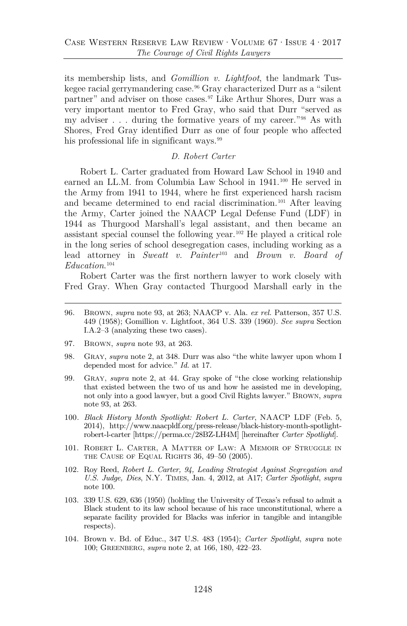its membership lists, and *Gomillion v. Lightfoot*, the landmark Tuskegee racial gerrymandering case.[96](#page-22-2) Gray characterized Durr as a "silent partner" and adviser on those cases.[97](#page-22-3) Like Arthur Shores, Durr was a very important mentor to Fred Gray, who said that Durr "served as my adviser . . . during the formative years of my career."[98](#page-22-4) As with Shores, Fred Gray identified Durr as one of four people who affected his professional life in significant ways.<sup>[99](#page-22-5)</sup>

#### <span id="page-22-8"></span><span id="page-22-1"></span>*D. Robert Carter*

Robert L. Carter graduated from Howard Law School in 1940 and earned an LL.M. from Columbia Law School in 1941.<sup>[100](#page-22-6)</sup> He served in the Army from 1941 to 1944, where he first experienced harsh racism and became determined to end racial discrimination.<sup>[101](#page-22-7)</sup> After leaving the Army, Carter joined the NAACP Legal Defense Fund (LDF) in 1944 as Thurgood Marshall's legal assistant, and then became an assistant special counsel the following year.[102](#page-23-0) He played a critical role in the long series of school desegregation cases, including working as a lead attorney in *Sweatt v. Painter*[103](#page-23-1) and *Brown v. Board of Education*. [104](#page-23-2)

Robert Carter was the first northern lawyer to work closely with Fred Gray. When Gray contacted Thurgood Marshall early in the

- 96. Brown, *supra* note [93,](#page-21-4) at 263; NAACP v. Ala. *ex rel.* Patterson, 357 U.S. 449 (1958); Gomillion v. Lightfoot, 364 U.S. 339 (1960). *See supra* Section I.A.2–3 (analyzing these two cases).
- <span id="page-22-0"></span>97. Brown, *supra* note [93,](#page-21-4) at 263.
- 98. Gray, *supra* note [2,](#page-2-2) at 348. Durr was also "the white lawyer upon whom I depended most for advice." *Id.* at 17.
- 99. Gray, *supra* note [2,](#page-2-2) at 44. Gray spoke of "the close working relationship that existed between the two of us and how he assisted me in developing, not only into a good lawyer, but a good Civil Rights lawyer." Brown, *supra* note [93,](#page-21-4) at 263.
- <span id="page-22-3"></span><span id="page-22-2"></span>100*. Black History Month Spotlight: Robert L. Carter*, NAACP LDF (Feb. 5, 2014), http://www.naacpldf.org/press-release/black-history-month-spotlightrobert-l-carter [https://perma.cc/28BZ-LH4M] [hereinafter *Carter Spotlight*].
- <span id="page-22-4"></span>101. Robert L. Carter, A Matter of Law: A Memoir of Struggle in the Cause of Equal Rights 36, 49–50 (2005).
- <span id="page-22-5"></span>102. Roy Reed, *Robert L. Carter, 94, Leading Strategist Against Segregation and U.S. Judge, Dies*, N.Y. Times, Jan. 4, 2012, at A17; *Carter Spotlight*, *supra* note [100.](#page-22-1)
- <span id="page-22-6"></span>103. 339 U.S. 629, 636 (1950) (holding the University of Texas's refusal to admit a Black student to its law school because of his race unconstitutional, where a separate facility provided for Blacks was inferior in tangible and intangible respects).
- <span id="page-22-7"></span>104. Brown v. Bd. of Educ., 347 U.S. 483 (1954); *Carter Spotlight*, *supra* note [100;](#page-22-1) Greenberg, *supra* note [2,](#page-2-2) at 166, 180, 422–23.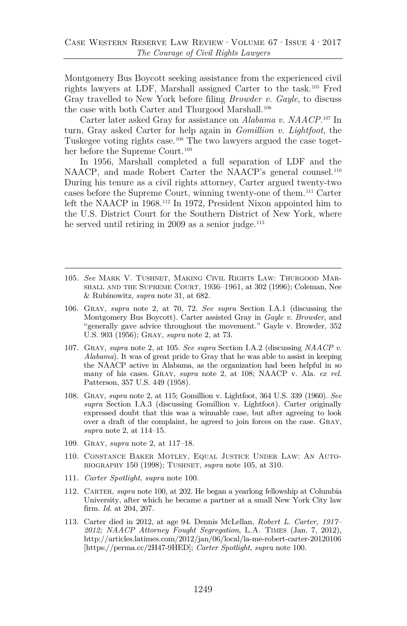<span id="page-23-3"></span>Montgomery Bus Boycott seeking assistance from the experienced civil rights lawyers at LDF, Marshall assigned Carter to the task.[105](#page-23-4) Fred Gray travelled to New York before filing *Browder v. Gayle*, to discuss the case with both Carter and Thurgood Marshall.<sup>106</sup>

Carter later asked Gray for assistance on *Alabama v. NAACP*. [107](#page-23-6) In turn, Gray asked Carter for help again in *Gomillion v. Lightfoot*, the Tuskegee voting rights case.[108](#page-23-7) The two lawyers argued the case toget-her before the Supreme Court.<sup>[109](#page-23-8)</sup>

<span id="page-23-10"></span>In 1956, Marshall completed a full separation of LDF and the NAACP, and made Robert Carter the NAACP's general counsel.<sup>[110](#page-23-9)</sup> During his tenure as a civil rights attorney, Carter argued twenty-two cases before the Supreme Court, winning twenty-one of them.[111](#page-24-0) Carter left the NAACP in 1968.[112](#page-24-1) In 1972, President Nixon appointed him to the U.S. District Court for the Southern District of New York, where he served until retiring in 2009 as a senior judge.<sup>113</sup>

- <span id="page-23-0"></span>105*. See* Mark V. Tushnet, Making Civil Rights Law: Thurgood Marshall and the Supreme Court, 1936–1961, at 302 (1996); Coleman, Nee & Rubinowitz, *supra* note [31,](#page-9-7) at 682.
- <span id="page-23-1"></span>106. Gray, *supra* note [2,](#page-2-2) at 70, 72. *See supra* Section I.A.1 (discussing the Montgomery Bus Boycott). Carter assisted Gray in *Gayle v. Browder*, and "generally gave advice throughout the movement." Gayle v. Browder, 352 U.S. 903 (1956); Gray, *supra* note [2,](#page-2-2) at 73.
- <span id="page-23-4"></span><span id="page-23-2"></span>107. Gray, *supra* note [2,](#page-2-2) at 105. *See supra* Section I.A.2 (discussing *NAACP v. Alabama*). It was of great pride to Gray that he was able to assist in keeping the NAACP active in Alabama, as the organization had been helpful in so many of his cases. Gray, *supra* note [2,](#page-2-2) at 108; NAACP v. Ala. *ex rel.* Patterson, 357 U.S. 449 (1958).
- <span id="page-23-5"></span>108. Gray, *supra* note [2,](#page-2-2) at 115; Gomillion v. Lightfoot, 364 U.S. 339 (1960). *See supra* Section I.A.3 (discussing Gomillion v. Lightfoot). Carter originally expressed doubt that this was a winnable case, but after agreeing to look over a draft of the complaint, he agreed to join forces on the case. Gray, *supra* note [2,](#page-2-2) at 114–15.
- <span id="page-23-6"></span>109. Gray, *supra* note [2,](#page-2-2) at 117–18.
- 110*.* Constance Baker Motley, Equal Justice Under Law: An Autobiography 150 (1998); Tushnet, *supra* note [105,](#page-23-3) at 310.
- <span id="page-23-7"></span>111*. Carter Spotlight*, *supra* note [100.](#page-22-1)
- 112. Carter, *supra* note [100,](#page-22-1) at 202. He began a yearlong fellowship at Columbia University, after which he became a partner at a small New York City law firm. *Id.* at 204, 207.
- <span id="page-23-9"></span><span id="page-23-8"></span>113. Carter died in 2012, at age 94. Dennis McLellan, *Robert L. Carter, 1917– 2012; NAACP Attorney Fought Segregation*, L.A. Times (Jan. 7, 2012), http://articles.latimes.com/2012/jan/06/local/la-me-robert-carter-20120106 [https://perma.cc/2H47-9HED]; *Carter Spotlight*, *supra* note [100.](#page-22-1)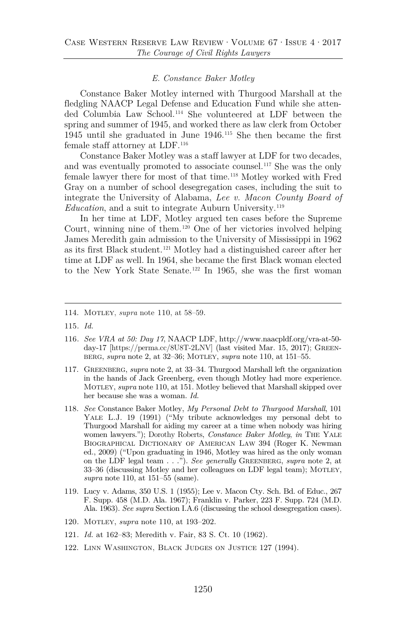#### *E. Constance Baker Motley*

Constance Baker Motley interned with Thurgood Marshall at the fledgling NAACP Legal Defense and Education Fund while she attended Columbia Law School.[114](#page-24-3) She volunteered at LDF between the spring and summer of 1945, and worked there as law clerk from October 1945 until she graduated in June 1946[.115](#page-24-4) She then became the first female staff attorney at LDF.[116](#page-24-5)

Constance Baker Motley was a staff lawyer at LDF for two decades, and was eventually promoted to associate counsel.<sup>117</sup> She was the only female lawyer there for most of that time.<sup>[118](#page-24-7)</sup> Motley worked with Fred Gray on a number of school desegregation cases, including the suit to integrate the University of Alabama, *Lee v. Macon County Board of Education*, and a suit to integrate Auburn University.<sup>[119](#page-25-0)</sup>

In her time at LDF, Motley argued ten cases before the Supreme Court, winning nine of them.[120](#page-25-1) One of her victories involved helping James Meredith gain admission to the University of Mississippi in 1962 as its first Black student.[121](#page-25-2) Motley had a distinguished career after her time at LDF as well. In 1964, she became the first Black woman elected to the New York State Senate.<sup>[122](#page-25-3)</sup> In 1965, she was the first woman

- <span id="page-24-2"></span>116*. See VRA at 50: Day 17*, NAACP LDF, http://www.naacpldf.org/vra-at-50 day-17 [https://perma.cc/8U8T-2LNV] (last visited Mar. 15, 2017); Greenberg, *supra* not[e 2,](#page-2-2) at 32–36; Motley, *supra* note [110,](#page-23-10) at 151–55.
- <span id="page-24-3"></span>117. Greenberg, *supra* note [2,](#page-2-2) at 33–34. Thurgood Marshall left the organization in the hands of Jack Greenberg, even though Motley had more experience. Motley, *supra* not[e 110,](#page-23-10) at 151. Motley believed that Marshall skipped over her because she was a woman. *Id.*
- <span id="page-24-6"></span><span id="page-24-5"></span><span id="page-24-4"></span>118. *See* Constance Baker Motley, *My Personal Debt to Thurgood Marshall*, 101 Yale L.J. 19 (1991) ("My tribute acknowledges my personal debt to Thurgood Marshall for aiding my career at a time when nobody was hiring women lawyers."); Dorothy Roberts, *Constance Baker Motley*, *in* The Yale Biographical Dictionary of American Law 394 (Roger K. Newman ed., 2009) ("Upon graduating in 1946, Motley was hired as the only woman on the LDF legal team . . ."). *See generally* Greenberg, *supra* note [2,](#page-2-2) at 33–36 (discussing Motley and her colleagues on LDF legal team); MOTLEY, *supra* note [110,](#page-23-10) at 151–55 (same).
- <span id="page-24-7"></span>119. Lucy v. Adams, 350 U.S. 1 (1955); Lee v. Macon Cty. Sch. Bd. of Educ., 267 F. Supp. 458 (M.D. Ala. 1967); Franklin v. Parker, 223 F. Supp. 724 (M.D. Ala. 1963). *See supra* Section I.A.6 (discussing the school desegregation cases).
- 120*.* Motley, *supra* note [110,](#page-23-10) at 193–202.
- 121*. Id.* at 162–83; Meredith v. Fair, 83 S. Ct. 10 (1962).
- 122. Linn Washington, Black Judges on Justice 127 (1994).

<span id="page-24-1"></span><span id="page-24-0"></span><sup>114.</sup> Motley, *supra* note [110](#page-23-10), at 58–59.

<sup>115</sup>*. Id.*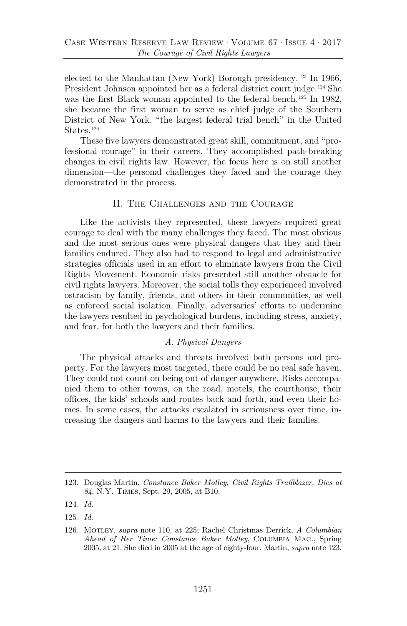elected to the Manhattan (New York) Borough presidency.<sup>[123](#page-25-5)</sup> In 1966, President Johnson appointed her as a federal district court judge[.124](#page-25-6) She was the first Black woman appointed to the federal bench.<sup>[125](#page-25-7)</sup> In 1982, she became the first woman to serve as chief judge of the Southern District of New York, "the largest federal trial bench" in the United States.<sup>[126](#page-25-8)</sup>

These five lawyers demonstrated great skill, commitment, and "professional courage" in their careers. They accomplished path-breaking changes in civil rights law. However, the focus here is on still another dimension—the personal challenges they faced and the courage they demonstrated in the process.

## <span id="page-25-4"></span>II. The Challenges and the Courage

Like the activists they represented, these lawyers required great courage to deal with the many challenges they faced. The most obvious and the most serious ones were physical dangers that they and their families endured. They also had to respond to legal and administrative strategies officials used in an effort to eliminate lawyers from the Civil Rights Movement. Economic risks presented still another obstacle for civil rights lawyers. Moreover, the social tolls they experienced involved ostracism by family, friends, and others in their communities, as well as enforced social isolation. Finally, adversaries' efforts to undermine the lawyers resulted in psychological burdens, including stress, anxiety, and fear, for both the lawyers and their families.

#### *A. Physical Dangers*

<span id="page-25-0"></span>The physical attacks and threats involved both persons and property. For the lawyers most targeted, there could be no real safe haven. They could not count on being out of danger anywhere. Risks accompanied them to other towns, on the road, motels, the courthouse, their offices, the kids' schools and routes back and forth, and even their homes. In some cases, the attacks escalated in seriousness over time, increasing the dangers and harms to the lawyers and their families.

<span id="page-25-5"></span><span id="page-25-3"></span><span id="page-25-2"></span><span id="page-25-1"></span><sup>123.</sup> Douglas Martin, *Constance Baker Motley, Civil Rights Trailblazer, Dies at 84*, N.Y. Times, Sept. 29, 2005, at B10.

<span id="page-25-6"></span><sup>124</sup>*. Id.*

<span id="page-25-7"></span><sup>125</sup>*. Id.*

<span id="page-25-8"></span><sup>126.</sup> Motley, *supra* note [110,](#page-23-10) at 225; Rachel Christmas Derrick, *A Columbian Ahead of Her Time: Constance Baker Motley*, Columbia Mag., Spring 2005, at 21. She died in 2005 at the age of eighty-four. Martin, *supra* not[e 123.](#page-25-4)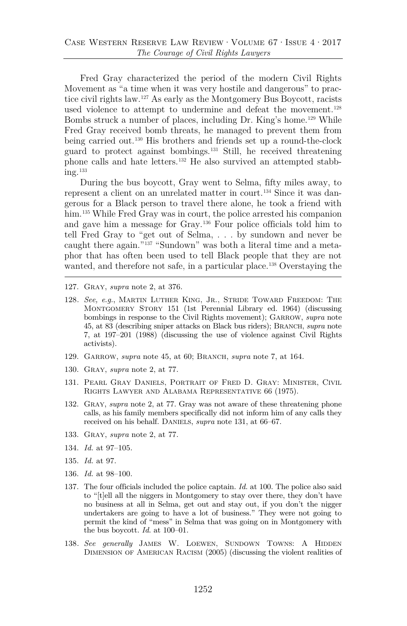Fred Gray characterized the period of the modern Civil Rights Movement as "a time when it was very hostile and dangerous" to practice civil rights law.[127](#page-26-1) As early as the Montgomery Bus Boycott, racists used violence to attempt to undermine and defeat the movement.<sup>[128](#page-26-2)</sup> Bombs struck a number of places, including Dr. King's home.[129](#page-26-3) While Fred Gray received bomb threats, he managed to prevent them from being carried out.[130](#page-26-4) His brothers and friends set up a round-the-clock guard to protect against bombings.[131](#page-26-5) Still, he received threatening phone calls and hate letters[.132](#page-26-6) He also survived an attempted stabb $ine.$ <sup>[133](#page-26-7)</sup>

<span id="page-26-0"></span>During the bus boycott, Gray went to Selma, fifty miles away, to represent a client on an unrelated matter in court.[134](#page-26-8) Since it was dangerous for a Black person to travel there alone, he took a friend with him.<sup>[135](#page-26-9)</sup> While Fred Gray was in court, the police arrested his companion and gave him a message for Gray.[136](#page-27-1) Four police officials told him to tell Fred Gray to "get out of Selma, . . . by sundown and never be caught there again.["137](#page-27-2) "Sundown" was both a literal time and a metaphor that has often been used to tell Black people that they are not wanted, and therefore not safe, in a particular place.<sup>138</sup> Overstaying the

- 127. Gray, *supra* note [2,](#page-2-2) at 376.
- 128*. See, e.g.*, Martin Luther King, Jr., Stride Toward Freedom: The Montgomery Story 151 (1st Perennial Library ed. 1964) (discussing bombings in response to the Civil Rights movement); GARROW, *supra* note [45,](#page-13-3) at 83 (describing sniper attacks on Black bus riders); Branch, *supra* note [7,](#page-3-4) at 197–201 (1988) (discussing the use of violence against Civil Rights activists).
- 129. Garrow, *supra* note [45,](#page-13-3) at 60; Branch, *supra* note [7,](#page-3-4) at 164.
- <span id="page-26-1"></span>130. Gray, *supra* note [2,](#page-2-2) at 77.
- <span id="page-26-2"></span>131. Pearl Gray Daniels, Portrait of Fred D. Gray: Minister, Civil Rights Lawyer and Alabama Representative 66 (1975).
- 132. Gray, *supra* note [2,](#page-2-2) at 77. Gray was not aware of these threatening phone calls, as his family members specifically did not inform him of any calls they received on his behalf. DANIELS, *supra* note [131,](#page-26-0) at 66–67.
- <span id="page-26-3"></span>133. Gray, *supra* note [2,](#page-2-2) at 77.
- <span id="page-26-4"></span>134. *Id.* at 97–105.
- <span id="page-26-5"></span>135. *Id.* at 97.
- 136. *Id.* at 98–100.
- <span id="page-26-6"></span>137. The four officials included the police captain. *Id.* at 100. The police also said to "[t]ell all the niggers in Montgomery to stay over there, they don't have no business at all in Selma, get out and stay out, if you don't the nigger undertakers are going to have a lot of business." They were not going to permit the kind of "mess" in Selma that was going on in Montgomery with the bus boycott. *Id.* at 100–01.
- <span id="page-26-9"></span><span id="page-26-8"></span><span id="page-26-7"></span>138. See generally JAMES W. LOEWEN, SUNDOWN TOWNS: A HIDDEN Dimension of American Racism (2005) (discussing the violent realities of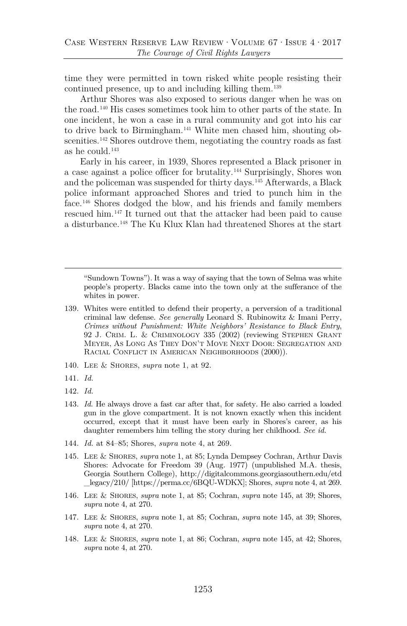time they were permitted in town risked white people resisting their continued presence, up to and including killing them.[139](#page-27-5)

Arthur Shores was also exposed to serious danger when he was on the road.[140](#page-27-6) His cases sometimes took him to other parts of the state. In one incident, he won a case in a rural community and got into his car to drive back to Birmingham.[141](#page-27-7) White men chased him, shouting ob-scenities.<sup>[142](#page-27-8)</sup> Shores outdrove them, negotiating the country roads as fast as he could.[143](#page-27-9)

<span id="page-27-4"></span><span id="page-27-0"></span>Early in his career, in 1939, Shores represented a Black prisoner in a case against a police officer for brutality.[144](#page-27-10) Surprisingly, Shores won and the policeman was suspended for thirty days.[145](#page-27-11) Afterwards, a Black police informant approached Shores and tried to punch him in the face.[146](#page-28-0) Shores dodged the blow, and his friends and family members rescued him.[147](#page-28-1) It turned out that the attacker had been paid to cause a disturbance.[148](#page-28-2) The Ku Klux Klan had threatened Shores at the start

"Sundown Towns"). It was a way of saying that the town of Selma was white people's property. Blacks came into the town only at the sufferance of the whites in power.

- <span id="page-27-2"></span><span id="page-27-1"></span>139. Whites were entitled to defend their property, a perversion of a traditional criminal law defense. *See generally* Leonard S. Rubinowitz & Imani Perry, *Crimes without Punishment: White Neighbors' Resistance to Black Entry*, 92 J. Crim. L. & Criminology 335 (2002) (reviewing Stephen Grant Meyer, As Long As They Don't Move Next Door: Segregation and RACIAL CONFLICT IN AMERICAN NEIGHBORHOODS (2000)).
- <span id="page-27-3"></span>140. Lee & Shores, *supra* note [1,](#page-1-2) at 92.
- 141. *Id.*
- <span id="page-27-5"></span>142. *Id.*
- 143. *Id.* He always drove a fast car after that, for safety. He also carried a loaded gun in the glove compartment. It is not known exactly when this incident occurred, except that it must have been early in Shores's career, as his daughter remembers him telling the story during her childhood. *See id.*
- 144. *Id.* at 84–85; Shores, *supra* note [4,](#page-3-6) at 269.
- <span id="page-27-8"></span><span id="page-27-7"></span><span id="page-27-6"></span>145. Lee & Shores, *supra* note [1,](#page-1-2) at 85; Lynda Dempsey Cochran, Arthur Davis Shores: Advocate for Freedom 39 (Aug. 1977) (unpublished M.A. thesis, Georgia Southern College), http://digitalcommons.georgiasouthern.edu/etd \_legacy/210/ [https://perma.cc/6BQU-WDKX]; Shores, *supra* not[e 4,](#page-3-6) at 269.
- <span id="page-27-9"></span>146. Lee & Shores, *supra* note [1,](#page-1-2) at 85; Cochran, *supra* note [145,](#page-27-4) at 39; Shores, *supra* note [4,](#page-3-6) at 270.
- <span id="page-27-10"></span>147. Lee & Shores, *supra* note [1,](#page-1-2) at 85; Cochran, *supra* note [145,](#page-27-4) at 39; Shores, *supra* note [4,](#page-3-6) at 270.
- <span id="page-27-11"></span>148. Lee & Shores, *supra* note [1,](#page-1-2) at 86; Cochran, *supra* note [145,](#page-27-4) at 42; Shores, *supra* note [4,](#page-3-6) at 270.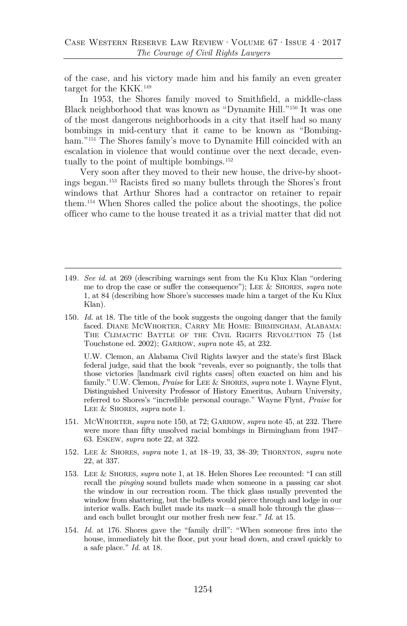of the case, and his victory made him and his family an even greater target for the KKK.<sup>[149](#page-28-4)</sup>

<span id="page-28-3"></span>In 1953, the Shores family moved to Smithfield, a middle-class Black neighborhood that was known as "Dynamite Hill.["150](#page-28-5) It was one of the most dangerous neighborhoods in a city that itself had so many bombings in mid-century that it came to be known as "Bombing-ham."<sup>[151](#page-28-6)</sup> The Shores family's move to Dynamite Hill coincided with an escalation in violence that would continue over the next decade, eventually to the point of multiple bombings.[152](#page-28-7)

Very soon after they moved to their new house, the drive-by shootings began[.153](#page-28-8) Racists fired so many bullets through the Shores's front windows that Arthur Shores had a contractor on retainer to repair them.[154](#page-29-1) When Shores called the police about the shootings, the police officer who came to the house treated it as a trivial matter that did not

- <span id="page-28-1"></span><span id="page-28-0"></span>149*. See id.* at 269 (describing warnings sent from the Ku Klux Klan "ordering me to drop the case or suffer the consequence"); Lee & Shores, *supra* note [1,](#page-1-2) at 84 (describing how Shore's successes made him a target of the Ku Klux Klan).
- <span id="page-28-4"></span><span id="page-28-2"></span>150. *Id.* at 18. The title of the book suggests the ongoing danger that the family faced. Diane McWhorter, Carry Me Home: Birmingham, Alabama: The Climactic Battle of the Civil Rights Revolution 75 (1st Touchstone ed. 2002); Garrow, *supra* note [45,](#page-13-3) at 232.

U.W. Clemon, an Alabama Civil Rights lawyer and the state's first Black federal judge, said that the book "reveals, ever so poignantly, the tolls that those victories [landmark civil rights cases] often exacted on him and his family." U.W. Clemon, *Praise* for Lee & Shores, *supra* note [1.](#page-1-2) Wayne Flynt, Distinguished University Professor of History Emeritus, Auburn University, referred to Shores's "incredible personal courage." Wayne Flynt, *Praise* for Lee & Shores, *supra* note [1.](#page-1-2)

- <span id="page-28-5"></span>151. McWhorter, *supra* note [150,](#page-28-3) at 72; Garrow, *supra* not[e 45,](#page-13-3) at 232. There were more than fifty unsolved racial bombings in Birmingham from 1947– 63. Eskew, *supra* note [22,](#page-8-4) at 322.
- 152. Lee & Shores, *supra* note [1,](#page-1-2) at 18–19, 33, 38–39; Thornton, *supra* note [22,](#page-8-4) at 337.
- <span id="page-28-6"></span>153. Lee & Shores, *supra* note [1,](#page-1-2) at 18. Helen Shores Lee recounted: "I can still recall the *pinging* sound bullets made when someone in a passing car shot the window in our recreation room. The thick glass usually prevented the window from shattering, but the bullets would pierce through and lodge in our interior walls. Each bullet made its mark—a small hole through the glass and each bullet brought our mother fresh new fear." *Id.* at 15.
- <span id="page-28-8"></span><span id="page-28-7"></span>154. *Id.* at 176. Shores gave the "family drill": "When someone fires into the house, immediately hit the floor, put your head down, and crawl quickly to a safe place." *Id.* at 18.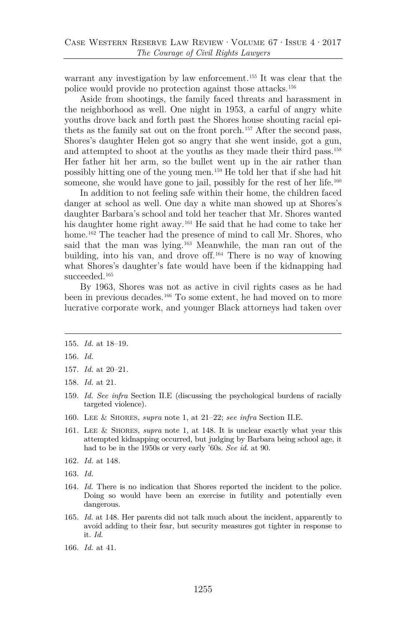warrant any investigation by law enforcement.<sup>[155](#page-29-2)</sup> It was clear that the police would provide no protection against those attacks.[156](#page-29-3)

Aside from shootings, the family faced threats and harassment in the neighborhood as well. One night in 1953, a carful of angry white youths drove back and forth past the Shores house shouting racial epithets as the family sat out on the front porch.[157](#page-29-4) After the second pass, Shores's daughter Helen got so angry that she went inside, got a gun, and attempted to shoot at the youths as they made their third pass.[158](#page-29-5) Her father hit her arm, so the bullet went up in the air rather than possibly hitting one of the young men.[159](#page-29-6) He told her that if she had hit someone, she would have gone to jail, possibly for the rest of her life.<sup>[160](#page-29-7)</sup>

<span id="page-29-0"></span>In addition to not feeling safe within their home, the children faced danger at school as well. One day a white man showed up at Shores's daughter Barbara's school and told her teacher that Mr. Shores wanted his daughter home right away.<sup>[161](#page-29-8)</sup> He said that he had come to take her home.<sup>[162](#page-29-9)</sup> The teacher had the presence of mind to call Mr. Shores, who said that the man was lying.[163](#page-29-10) Meanwhile, the man ran out of the building, into his van, and drove off.[164](#page-29-11) There is no way of knowing what Shores's daughter's fate would have been if the kidnapping had succeeded.<sup>[165](#page-30-1)</sup>

By 1963, Shores was not as active in civil rights cases as he had been in previous decades. [166](#page-30-2) To some extent, he had moved on to more lucrative corporate work, and younger Black attorneys had taken over

- <span id="page-29-3"></span>159. *Id. See infra* Section II.E (discussing the psychological burdens of racially targeted violence).
- <span id="page-29-5"></span><span id="page-29-4"></span>160. Lee & Shores, *supra* note [1,](#page-1-2) at 21–22; *see infra* Section II.E.
- <span id="page-29-6"></span>161. Lee & Shores, *supra* note [1,](#page-1-2) at 148. It is unclear exactly what year this attempted kidnapping occurred, but judging by Barbara being school age, it had to be in the 1950s or very early '60s. *See id.* at 90.
- <span id="page-29-7"></span>162. *Id.* at 148.
- <span id="page-29-8"></span>163. *Id.*
- <span id="page-29-9"></span>164. *Id.* There is no indication that Shores reported the incident to the police. Doing so would have been an exercise in futility and potentially even dangerous.
- <span id="page-29-11"></span><span id="page-29-10"></span>165. *Id.* at 148. Her parents did not talk much about the incident, apparently to avoid adding to their fear, but security measures got tighter in response to it. *Id.*
- 166. *Id.* at 41.

<sup>155.</sup> *Id.* at 18–19.

<span id="page-29-1"></span><sup>156.</sup> *Id.*

<sup>157.</sup> *Id.* at 20–21.

<span id="page-29-2"></span><sup>158.</sup> *Id.* at 21.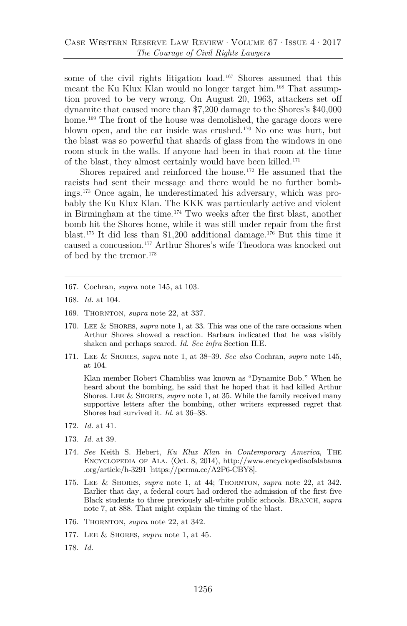some of the civil rights litigation load.[167](#page-30-3) Shores assumed that this meant the Ku Klux Klan would no longer target him.<sup>[168](#page-30-4)</sup> That assumption proved to be very wrong. On August 20, 1963, attackers set off dynamite that caused more than \$7,200 damage to the Shores's \$40,000 home.<sup>[169](#page-30-5)</sup> The front of the house was demolished, the garage doors were blown open, and the car inside was crushed.[170](#page-30-6) No one was hurt, but the blast was so powerful that shards of glass from the windows in one room stuck in the walls. If anyone had been in that room at the time of the blast, they almost certainly would have been killed.[171](#page-30-7)

<span id="page-30-0"></span>Shores repaired and reinforced the house.[172](#page-30-8) He assumed that the racists had sent their message and there would be no further bombings.[173](#page-30-9) Once again, he underestimated his adversary, which was probably the Ku Klux Klan. The KKK was particularly active and violent in Birmingham at the time.[174](#page-30-10) Two weeks after the first blast, another bomb hit the Shores home, while it was still under repair from the first blast.[175](#page-31-1) It did less than \$1,200 additional damage.[176](#page-31-2) But this time it caused a concussion.[177](#page-31-3) Arthur Shores's wife Theodora was knocked out of bed by the tremor.[178](#page-31-4)

- 167. Cochran, *supra* note [145,](#page-27-4) at 103.
- 168. *Id.* at 104.
- 169. Thornton, *supra* note [22,](#page-8-4) at 337.
- <span id="page-30-1"></span>170. Lee & Shores, *supra* note [1,](#page-1-2) at 33. This was one of the rare occasions when Arthur Shores showed a reaction. Barbara indicated that he was visibly shaken and perhaps scared. *Id. See infra* Section II.E.
- <span id="page-30-5"></span><span id="page-30-4"></span><span id="page-30-3"></span><span id="page-30-2"></span>171. Lee & Shores, *supra* note [1,](#page-1-2) at 38–39. *See also* Cochran, *supra* note [145,](#page-27-4) at 104.

Klan member Robert Chambliss was known as "Dynamite Bob." When he heard about the bombing, he said that he hoped that it had killed Arthur Shores. Lee & Shores, *supra* note [1,](#page-1-2) at 35. While the family received many supportive letters after the bombing, other writers expressed regret that Shores had survived it. *Id.* at 36–38.

- <span id="page-30-7"></span><span id="page-30-6"></span>172. *Id.* at 41.
- 173. *Id.* at 39.
- 174*. See* Keith S. Hebert, *Ku Klux Klan in Contemporary America*, The Encyclopedia of Ala. (Oct. 8, 2014), http://www.encyclopediaofalabama .org/article/h-3291 [https://perma.cc/A2P6-CBY8].
- <span id="page-30-8"></span>175. Lee & Shores, *supra* note [1,](#page-1-2) at 44; Thornton, *supra* note [22,](#page-8-4) at 342. Earlier that day, a federal court had ordered the admission of the first five Black students to three previously all-white public schools. BRANCH, *supra* note [7,](#page-3-4) at 888. That might explain the timing of the blast.
- <span id="page-30-10"></span><span id="page-30-9"></span>176. THORNTON, *supra* note [22,](#page-8-4) at 342.
- 177. Lee & Shores, *supra* note [1,](#page-1-2) at 45.
- 178. *Id.*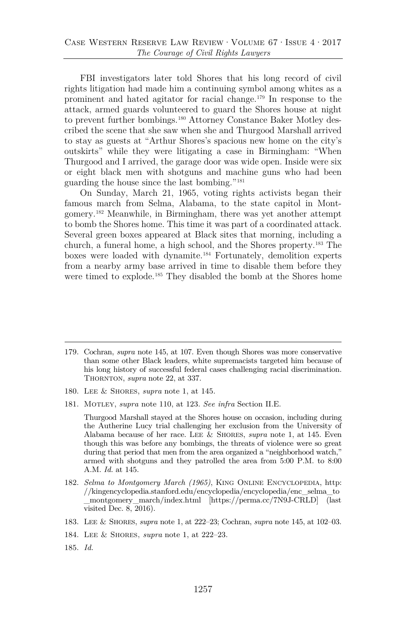FBI investigators later told Shores that his long record of civil rights litigation had made him a continuing symbol among whites as a prominent and hated agitator for racial change.[179](#page-31-5) In response to the attack, armed guards volunteered to guard the Shores house at night to prevent further bombings.[180](#page-31-6) Attorney Constance Baker Motley described the scene that she saw when she and Thurgood Marshall arrived to stay as guests at "Arthur Shores's spacious new home on the city's outskirts" while they were litigating a case in Birmingham: "When Thurgood and I arrived, the garage door was wide open. Inside were six or eight black men with shotguns and machine guns who had been guarding the house since the last bombing."[181](#page-31-7)

<span id="page-31-0"></span>On Sunday, March 21, 1965, voting rights activists began their famous march from Selma, Alabama, to the state capitol in Montgomery[.182](#page-31-8) Meanwhile, in Birmingham, there was yet another attempt to bomb the Shores home. This time it was part of a coordinated attack. Several green boxes appeared at Black sites that morning, including a church, a funeral home, a high school, and the Shores property.[183](#page-32-0) The boxes were loaded with dynamite.[184](#page-32-1) Fortunately, demolition experts from a nearby army base arrived in time to disable them before they were timed to explode.<sup>[185](#page-32-2)</sup> They disabled the bomb at the Shores home

- <span id="page-31-5"></span><span id="page-31-4"></span>180. Lee & Shores, *supra* note [1,](#page-1-2) at 145.
- <span id="page-31-7"></span><span id="page-31-6"></span>181. Motley, *supra* note [110,](#page-23-10) at 123. *See infra* Section II.E.

Thurgood Marshall stayed at the Shores house on occasion, including during the Autherine Lucy trial challenging her exclusion from the University of Alabama because of her race. Lee & Shores, *supra* note [1,](#page-1-2) at 145. Even though this was before any bombings, the threats of violence were so great during that period that men from the area organized a "neighborhood watch," armed with shotguns and they patrolled the area from 5:00 P.M. to 8:00 A.M. *Id.* at 145.

- 182. *Selma to Montgomery March (1965)*, KING ONLINE ENCYCLOPEDIA, http: //kingencyclopedia.stanford.edu/encyclopedia/encyclopedia/enc\_selma\_to \_montgomery\_march/index.html [https://perma.cc/7N9J-CRLD] (last visited Dec. 8, 2016).
- <span id="page-31-8"></span>183. Lee & Shores, *supra* not[e 1,](#page-1-2) at 222–23; Cochran, *supra* note [145,](#page-27-4) at 102–03.
- 184. Lee & Shores, *supra* note [1,](#page-1-2) at 222–23.
- 185. *Id.*

<span id="page-31-3"></span><span id="page-31-2"></span><span id="page-31-1"></span><sup>179.</sup> Cochran, *supra* note [145,](#page-27-4) at 107. Even though Shores was more conservative than some other Black leaders, white supremacists targeted him because of his long history of successful federal cases challenging racial discrimination. THORNTON, *supra* note [22,](#page-8-4) at 337.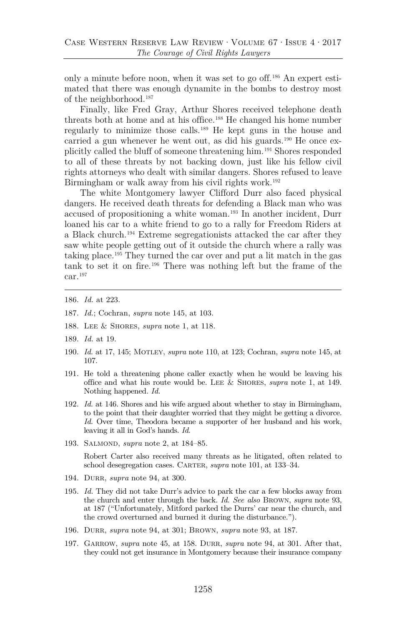only a minute before noon, when it was set to go off.[186](#page-32-3) An expert estimated that there was enough dynamite in the bombs to destroy most of the neighborhood.[187](#page-32-4)

Finally, like Fred Gray, Arthur Shores received telephone death threats both at home and at his office.[188](#page-32-5) He changed his home number regularly to minimize those calls.[189](#page-32-6) He kept guns in the house and carried a gun whenever he went out, as did his guards.[190](#page-32-7) He once explicitly called the bluff of someone threatening him.[191](#page-32-8) Shores responded to all of these threats by not backing down, just like his fellow civil rights attorneys who dealt with similar dangers. Shores refused to leave Birmingham or walk away from his civil rights work.<sup>[192](#page-32-9)</sup>

The white Montgomery lawyer Clifford Durr also faced physical dangers. He received death threats for defending a Black man who was accused of propositioning a white woman.[193](#page-32-10) In another incident, Durr loaned his car to a white friend to go to a rally for Freedom Riders at a Black church.[194](#page-32-11) Extreme segregationists attacked the car after they saw white people getting out of it outside the church where a rally was taking place.[195](#page-33-0) They turned the car over and put a lit match in the gas tank to set it on fire.[196](#page-33-1) There was nothing left but the frame of the car.[197](#page-33-2)

- <span id="page-32-12"></span>186. *Id.* at 223.
- 187. *Id.*; Cochran, *supra* note [145,](#page-27-4) at 103.
- <span id="page-32-0"></span>188. Lee & Shores, *supra* note [1,](#page-1-2) at 118.
- <span id="page-32-1"></span>189. *Id.* at 19.
- <span id="page-32-2"></span>190. *Id.* at 17, 145; Motley, *supra* note [110,](#page-23-10) at 123; Cochran, *supra* note [145,](#page-27-4) at 107.
- <span id="page-32-4"></span><span id="page-32-3"></span>191. He told a threatening phone caller exactly when he would be leaving his office and what his route would be. Lee & Shores, *supra* note [1,](#page-1-2) at 149. Nothing happened. *Id.*
- <span id="page-32-7"></span><span id="page-32-6"></span><span id="page-32-5"></span>192. *Id.* at 146. Shores and his wife argued about whether to stay in Birmingham, to the point that their daughter worried that they might be getting a divorce. *Id.* Over time, Theodora became a supporter of her husband and his work, leaving it all in God's hands. *Id.*
- <span id="page-32-8"></span>193. Salmond, *supra* note [2,](#page-2-2) at 184–85.

Robert Carter also received many threats as he litigated, often related to school desegregation cases. CARTER, *supra* note [101,](#page-22-8) at 133-34.

- <span id="page-32-9"></span>194. Durr, *supra* note [94,](#page-21-12) at 300.
- <span id="page-32-10"></span>195. *Id.* They did not take Durr's advice to park the car a few blocks away from the church and enter through the back. *Id. See also* Brown, *supra* note [93,](#page-21-4) at 187 ("Unfortunately, Mitford parked the Durrs' car near the church, and the crowd overturned and burned it during the disturbance.").
- 196. Durr, *supra* note [94,](#page-21-12) at 301; Brown, *supra* note [93,](#page-21-4) at 187.
- <span id="page-32-11"></span>197. Garrow, *supra* note [45,](#page-13-3) at 158. Durr, *supra* note [94,](#page-21-12) at 301. After that, they could not get insurance in Montgomery because their insurance company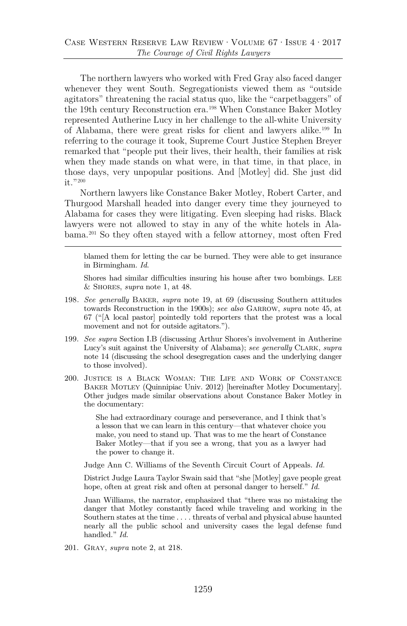The northern lawyers who worked with Fred Gray also faced danger whenever they went South. Segregationists viewed them as "outside agitators" threatening the racial status quo, like the "carpetbaggers" of the 19th century Reconstruction era.[198](#page-33-3) When Constance Baker Motley represented Autherine Lucy in her challenge to the all-white University of Alabama, there were great risks for client and lawyers alike.[199](#page-33-4) In referring to the courage it took, Supreme Court Justice Stephen Breyer remarked that "people put their lives, their health, their families at risk when they made stands on what were, in that time, in that place, in those days, very unpopular positions. And [Motley] did. She just did it. "[200](#page-33-5)

<span id="page-33-6"></span><span id="page-33-0"></span>Northern lawyers like Constance Baker Motley, Robert Carter, and Thurgood Marshall headed into danger every time they journeyed to Alabama for cases they were litigating. Even sleeping had risks. Black lawyers were not allowed to stay in any of the white hotels in Alabama.[201](#page-34-0) So they often stayed with a fellow attorney, most often Fred

blamed them for letting the car be burned. They were able to get insurance in Birmingham. *Id.*

Shores had similar difficulties insuring his house after two bombings. Lee & Shores, *supra* note [1,](#page-1-2) at 48.

- <span id="page-33-2"></span><span id="page-33-1"></span>198*. See generally* Baker, *supra* note [19,](#page-7-5) at 69 (discussing Southern attitudes towards Reconstruction in the 1900s); *see also* GARROW, *supra* note [45,](#page-13-3) at 67 ("[A local pastor] pointedly told reporters that the protest was a local movement and not for outside agitators.").
- 199. *See supra* Section I.B (discussing Arthur Shores's involvement in Autherine Lucy's suit against the University of Alabama); *see generally* Clark, *supra* note [14](#page-6-3) (discussing the school desegregation cases and the underlying danger to those involved).
- <span id="page-33-5"></span><span id="page-33-4"></span><span id="page-33-3"></span>200. Justice is a Black Woman: The Life and Work of Constance Baker Motley (Quinnipiac Univ. 2012) [hereinafter Motley Documentary]. Other judges made similar observations about Constance Baker Motley in the documentary:

She had extraordinary courage and perseverance, and I think that's a lesson that we can learn in this century—that whatever choice you make, you need to stand up. That was to me the heart of Constance Baker Motley—that if you see a wrong, that you as a lawyer had the power to change it.

Judge Ann C. Williams of the Seventh Circuit Court of Appeals. *Id.*

District Judge Laura Taylor Swain said that "she [Motley] gave people great hope, often at great risk and often at personal danger to herself." *Id.*

Juan Williams, the narrator, emphasized that "there was no mistaking the danger that Motley constantly faced while traveling and working in the Southern states at the time . . . . threats of verbal and physical abuse haunted nearly all the public school and university cases the legal defense fund handled." *Id.*

201. Gray, *supra* note [2,](#page-2-2) at 218.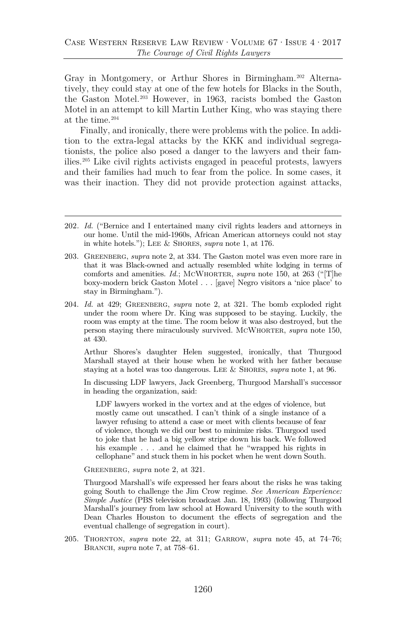Gray in Montgomery, or Arthur Shores in Birmingham[.202](#page-34-1) Alternatively, they could stay at one of the few hotels for Blacks in the South, the Gaston Motel.[203](#page-34-2) However, in 1963, racists bombed the Gaston Motel in an attempt to kill Martin Luther King, who was staying there at the time.[204](#page-34-3)

Finally, and ironically, there were problems with the police. In addition to the extra-legal attacks by the KKK and individual segregationists, the police also posed a danger to the lawyers and their families.[205](#page-35-1) Like civil rights activists engaged in peaceful protests, lawyers and their families had much to fear from the police. In some cases, it was their inaction. They did not provide protection against attacks,

<span id="page-34-3"></span><span id="page-34-2"></span>204. *Id.* at 429; Greenberg, *supra* note [2,](#page-2-2) at 321. The bomb exploded right under the room where Dr. King was supposed to be staying. Luckily, the room was empty at the time. The room below it was also destroyed, but the person staying there miraculously survived. McWhorter, *supra* note [150,](#page-28-3) at 430.

Arthur Shores's daughter Helen suggested, ironically, that Thurgood Marshall stayed at their house when he worked with her father because staying at a hotel was too dangerous. Lee & Shores, *supra* note [1,](#page-1-2) at 96.

In discussing LDF lawyers, Jack Greenberg, Thurgood Marshall's successor in heading the organization, said:

LDF lawyers worked in the vortex and at the edges of violence, but mostly came out unscathed. I can't think of a single instance of a lawyer refusing to attend a case or meet with clients because of fear of violence, though we did our best to minimize risks. Thurgood used to joke that he had a big yellow stripe down his back. We followed his example . . . .and he claimed that he "wrapped his rights in cellophane" and stuck them in his pocket when he went down South.

Greenberg, *supra* note [2,](#page-2-2) at 321.

Thurgood Marshall's wife expressed her fears about the risks he was taking going South to challenge the Jim Crow regime. *See American Experience: Simple Justice* (PBS television broadcast Jan. 18, 1993) (following Thurgood Marshall's journey from law school at Howard University to the south with Dean Charles Houston to document the effects of segregation and the eventual challenge of segregation in court).

205. Thornton, *supra* note [22,](#page-8-4) at 311; Garrow, *supra* note [45,](#page-13-3) at 74–76; Branch, *supra* note [7,](#page-3-4) at 758–61.

<sup>202</sup>*. Id.* ("Bernice and I entertained many civil rights leaders and attorneys in our home. Until the mid-1960s, African American attorneys could not stay in white hotels."); Lee & Shores, *supra* note [1,](#page-1-2) at 176.

<span id="page-34-1"></span><span id="page-34-0"></span><sup>203.</sup> Greenberg, *supra* note [2,](#page-2-2) at 334. The Gaston motel was even more rare in that it was Black-owned and actually resembled white lodging in terms of comforts and amenities. *Id.*; MCWHORTER, *supra* note [150,](#page-28-3) at 263 ("The boxy-modern brick Gaston Motel . . . [gave] Negro visitors a 'nice place' to stay in Birmingham.").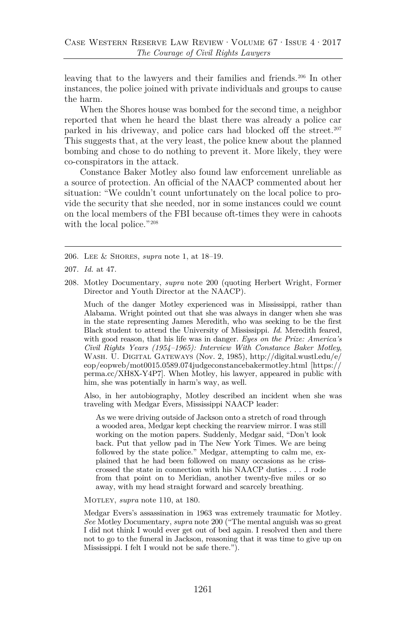leaving that to the lawyers and their families and friends.[206](#page-35-2) In other instances, the police joined with private individuals and groups to cause the harm.

When the Shores house was bombed for the second time, a neighbor reported that when he heard the blast there was already a police car parked in his driveway, and police cars had blocked off the street.<sup>[207](#page-35-3)</sup> This suggests that, at the very least, the police knew about the planned bombing and chose to do nothing to prevent it. More likely, they were co-conspirators in the attack.

Constance Baker Motley also found law enforcement unreliable as a source of protection. An official of the NAACP commented about her situation: "We couldn't count unfortunately on the local police to provide the security that she needed, nor in some instances could we count on the local members of the FBI because oft-times they were in cahoots with the local police."<sup>[208](#page-35-4)</sup>

- <span id="page-35-0"></span>206. Lee & Shores, *supra* note [1,](#page-1-2) at 18–19.
- 207. *Id.* at 47.
- <span id="page-35-1"></span>208. Motley Documentary, *supra* note [200](#page-33-6) (quoting Herbert Wright, Former Director and Youth Director at the NAACP).

Much of the danger Motley experienced was in Mississippi, rather than Alabama. Wright pointed out that she was always in danger when she was in the state representing James Meredith, who was seeking to be the first Black student to attend the University of Mississippi. *Id.* Meredith feared, with good reason, that his life was in danger. *Eyes on the Prize: America's Civil Rights Years (1954–1965): Interview With Constance Baker Motley*, Wash. U. Digital Gateways (Nov. 2, 1985), http://digital.wustl.edu/e/ eop/eopweb/mot0015.0589.074judgeconstancebakermotley.html [https:// perma.cc/XH8X-Y4P7]. When Motley, his lawyer, appeared in public with him, she was potentially in harm's way, as well.

<span id="page-35-4"></span><span id="page-35-3"></span><span id="page-35-2"></span>Also, in her autobiography, Motley described an incident when she was traveling with Medgar Evers, Mississippi NAACP leader:

As we were driving outside of Jackson onto a stretch of road through a wooded area, Medgar kept checking the rearview mirror. I was still working on the motion papers. Suddenly, Medgar said, "Don't look back. Put that yellow pad in The New York Times. We are being followed by the state police." Medgar, attempting to calm me, explained that he had been followed on many occasions as he crisscrossed the state in connection with his NAACP duties . . . .I rode from that point on to Meridian, another twenty-five miles or so away, with my head straight forward and scarcely breathing.

MOTLEY, *supra* note [110,](#page-23-10) at 180.

Medgar Evers's assassination in 1963 was extremely traumatic for Motley. *See* Motley Documentary, *supra* note [200](#page-33-6) ("The mental anguish was so great I did not think I would ever get out of bed again. I resolved then and there not to go to the funeral in Jackson, reasoning that it was time to give up on Mississippi. I felt I would not be safe there.").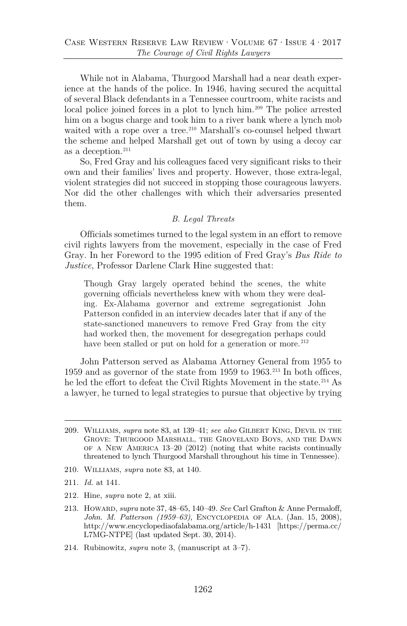While not in Alabama, Thurgood Marshall had a near death experience at the hands of the police. In 1946, having secured the acquittal of several Black defendants in a Tennessee courtroom, white racists and local police joined forces in a plot to lynch him.<sup>[209](#page-36-0)</sup> The police arrested him on a bogus charge and took him to a river bank where a lynch mob waited with a rope over a tree.<sup>[210](#page-36-1)</sup> Marshall's co-counsel helped thwart the scheme and helped Marshall get out of town by using a decoy car as a deception.<sup>[211](#page-36-2)</sup>

So, Fred Gray and his colleagues faced very significant risks to their own and their families' lives and property. However, those extra-legal, violent strategies did not succeed in stopping those courageous lawyers. Nor did the other challenges with which their adversaries presented them.

#### *B. Legal Threats*

Officials sometimes turned to the legal system in an effort to remove civil rights lawyers from the movement, especially in the case of Fred Gray. In her Foreword to the 1995 edition of Fred Gray's *Bus Ride to Justice*, Professor Darlene Clark Hine suggested that:

Though Gray largely operated behind the scenes, the white governing officials nevertheless knew with whom they were dealing. Ex-Alabama governor and extreme segregationist John Patterson confided in an interview decades later that if any of the state-sanctioned maneuvers to remove Fred Gray from the city had worked then, the movement for desegregation perhaps could have been stalled or put on hold for a generation or more.<sup>[212](#page-37-0)</sup>

John Patterson served as Alabama Attorney General from 1955 to 1959 and as governor of the state from 1959 to  $1963.^{213}$  In both offices, he led the effort to defeat the Civil Rights Movement in the state.<sup>214</sup> As a lawyer, he turned to legal strategies to pursue that objective by trying

- 210. Williams, *supra* note [83,](#page-20-4) at 140.
- 211. *Id.* at 141.
- <span id="page-36-0"></span>212. Hine, *supra* note [2,](#page-2-2) at xiii.
- 213. Howard, *supra* not[e 37,](#page-11-6) 48–65, 140–49. *See* Carl Grafton & Anne Permaloff, *John. M. Patterson (1959–63),* Encyclopedia of Ala. (Jan. 15, 2008), http://www.encyclopediaofalabama.org/article/h-1431 [https://perma.cc/ L7MG-NTPE] (last updated Sept. 30, 2014).
- <span id="page-36-2"></span><span id="page-36-1"></span>214. Rubinowitz, *supra* note [3,](#page-2-3) (manuscript at 3–7).

<sup>209.</sup> Williams, *supra* note [83,](#page-20-4) at 139–41; *see also* Gilbert King, Devil in the Grove: Thurgood Marshall, the Groveland Boys, and the Dawn of a New America 13–20 (2012) (noting that white racists continually threatened to lynch Thurgood Marshall throughout his time in Tennessee).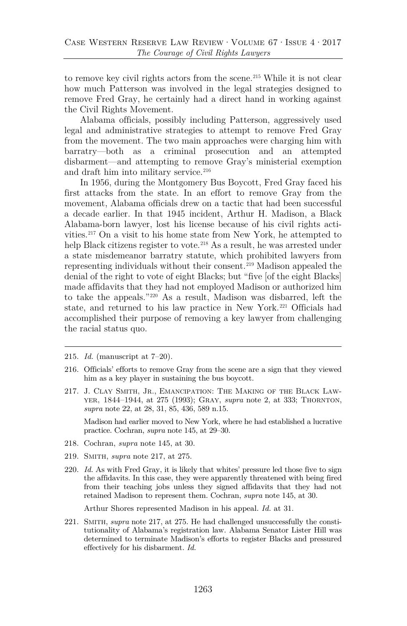to remove key civil rights actors from the scene.<sup>[215](#page-37-4)</sup> While it is not clear how much Patterson was involved in the legal strategies designed to remove Fred Gray, he certainly had a direct hand in working against the Civil Rights Movement.

Alabama officials, possibly including Patterson, aggressively used legal and administrative strategies to attempt to remove Fred Gray from the movement. The two main approaches were charging him with barratry—both as a criminal prosecution and an attempted disbarment—and attempting to remove Gray's ministerial exemption and draft him into military service.<sup>[216](#page-37-5)</sup>

<span id="page-37-3"></span>In 1956, during the Montgomery Bus Boycott, Fred Gray faced his first attacks from the state. In an effort to remove Gray from the movement, Alabama officials drew on a tactic that had been successful a decade earlier. In that 1945 incident, Arthur H. Madison, a Black Alabama-born lawyer, lost his license because of his civil rights activities.[217](#page-37-6) On a visit to his home state from New York, he attempted to help Black citizens register to vote.<sup>[218](#page-37-7)</sup> As a result, he was arrested under a state misdemeanor barratry statute, which prohibited lawyers from representing individuals without their consent.[219](#page-37-8) Madison appealed the denial of the right to vote of eight Blacks; but "five [of the eight Blacks] made affidavits that they had not employed Madison or authorized him to take the appeals."[220](#page-38-0) As a result, Madison was disbarred, left the state, and returned to his law practice in New York.[221](#page-38-1) Officials had accomplished their purpose of removing a key lawyer from challenging the racial status quo.

<span id="page-37-1"></span>217. J. Clay Smith, Jr., Emancipation: The Making of the Black Lawyer, 1844–1944, at 275 (1993); Gray, *supra* note [2,](#page-2-2) at 333; Thornton, *supra* note [22,](#page-8-4) at 28, 31, 85, 436, 589 n.15.

Madison had earlier moved to New York, where he had established a lucrative practice. Cochran, *supra* note [145,](#page-27-4) at 29–30.

- <span id="page-37-4"></span><span id="page-37-2"></span>218. Cochran, *supra* note [145,](#page-27-4) at 30.
- <span id="page-37-5"></span>219. Smith, *supra* note [217,](#page-37-3) at 275.
- <span id="page-37-6"></span>220. *Id.* As with Fred Gray, it is likely that whites' pressure led those five to sign the affidavits. In this case, they were apparently threatened with being fired from their teaching jobs unless they signed affidavits that they had not retained Madison to represent them. Cochran, *supra* note [145,](#page-27-4) at 30.

Arthur Shores represented Madison in his appeal. *Id.* at 31.

<span id="page-37-8"></span><span id="page-37-7"></span>221. Smith, *supra* note [217,](#page-37-3) at 275. He had challenged unsuccessfully the constitutionality of Alabama's registration law. Alabama Senator Lister Hill was determined to terminate Madison's efforts to register Blacks and pressured effectively for his disbarment. *Id.*

<sup>215.</sup> *Id.* (manuscript at 7–20).

<span id="page-37-0"></span><sup>216.</sup> Officials' efforts to remove Gray from the scene are a sign that they viewed him as a key player in sustaining the bus boycott.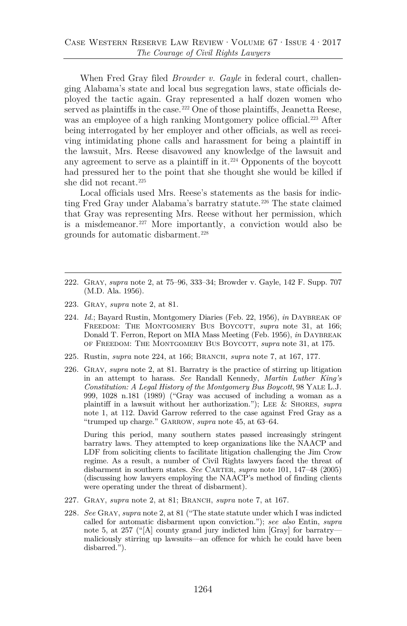When Fred Gray filed *Browder v. Gayle* in federal court, challenging Alabama's state and local bus segregation laws, state officials deployed the tactic again. Gray represented a half dozen women who served as plaintiffs in the case.<sup>[222](#page-38-3)</sup> One of those plaintiffs, Jeanetta Reese, was an employee of a high ranking Montgomery police official.<sup>223</sup> After being interrogated by her employer and other officials, as well as receiving intimidating phone calls and harassment for being a plaintiff in the lawsuit, Mrs. Reese disavowed any knowledge of the lawsuit and any agreement to serve as a plaintiff in it.[224](#page-38-5) Opponents of the boycott had pressured her to the point that she thought she would be killed if she did not recant.[225](#page-38-6)

<span id="page-38-2"></span>Local officials used Mrs. Reese's statements as the basis for indic-ting Fred Gray under Alabama's barratry statute.<sup>[226](#page-38-7)</sup> The state claimed that Gray was representing Mrs. Reese without her permission, which is a misdemeanor.<sup>[227](#page-39-0)</sup> More importantly, a conviction would also be grounds for automatic disbarment.[228](#page-39-1)

- <span id="page-38-0"></span>222. Gray, *supra* note [2,](#page-2-2) at 75–96, 333–34; Browder v. Gayle, 142 F. Supp. 707 (M.D. Ala. 1956).
- 223. Gray, *supra* note [2,](#page-2-2) at 81.
- 224. *Id.*; Bayard Rustin, Montgomery Diaries (Feb. 22, 1956), *in* DAYBREAK OF FREEDOM: THE MONTGOMERY BUS BOYCOTT, *supra* note [31,](#page-9-7) at 166; Donald T. Ferron, Report on MIA Mass Meeting (Feb. 1956), *in* DAYBREAK of Freedom: The Montgomery Bus Boycott, *supra* note [31,](#page-9-7) at 175.
- <span id="page-38-1"></span>225. Rustin, *supra* note [224,](#page-38-2) at 166; Branch, *supra* note [7,](#page-3-4) at 167, 177.
- <span id="page-38-5"></span><span id="page-38-4"></span><span id="page-38-3"></span>226. Gray, *supra* note [2,](#page-2-2) at 81. Barratry is the practice of stirring up litigation in an attempt to harass. *See* Randall Kennedy, *Martin Luther King's Constitution: A Legal History of the Montgomery Bus Boycott*, 98 Yale L.J. 999, 1028 n.181 (1989) ("Gray was accused of including a woman as a plaintiff in a lawsuit without her authorization."); Lee & Shores, *supra* note [1,](#page-1-2) at 112. David Garrow referred to the case against Fred Gray as a "trumped up charge." Garrow, *supra* not[e 45,](#page-13-3) at 63–64.

During this period, many southern states passed increasingly stringent barratry laws. They attempted to keep organizations like the NAACP and LDF from soliciting clients to facilitate litigation challenging the Jim Crow regime. As a result, a number of Civil Rights lawyers faced the threat of disbarment in southern states. *See* CARTER, *supra* note [101,](#page-22-8) 147–48 (2005) (discussing how lawyers employing the NAACP's method of finding clients were operating under the threat of disbarment).

- <span id="page-38-7"></span><span id="page-38-6"></span>227. Gray, *supra* note [2,](#page-2-2) at 81; Branch, *supra* note [7,](#page-3-4) at 167.
- 228*. See* Gray, *supra* not[e 2,](#page-2-2) at 81 ("The state statute under which I was indicted called for automatic disbarment upon conviction."); *see also* Entin, *supra* note [5,](#page-3-5) at 257 ("[A] county grand jury indicted him [Gray] for barratry maliciously stirring up lawsuits—an offence for which he could have been disbarred.").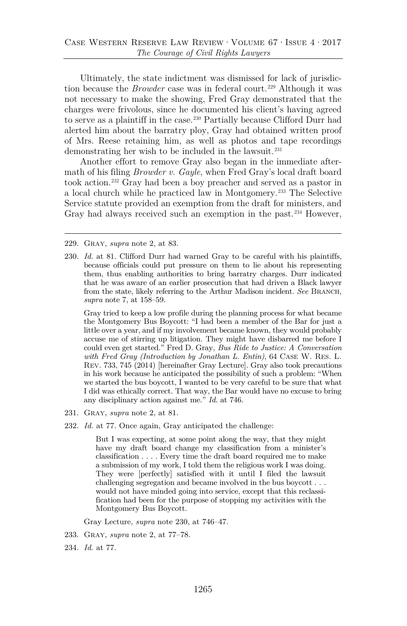<span id="page-39-2"></span>Ultimately, the state indictment was dismissed for lack of jurisdiction because the *Browder* case was in federal court.<sup>[229](#page-39-3)</sup> Although it was not necessary to make the showing, Fred Gray demonstrated that the charges were frivolous, since he documented his client's having agreed to serve as a plaintiff in the case[.230](#page-39-4) Partially because Clifford Durr had alerted him about the barratry ploy, Gray had obtained written proof of Mrs. Reese retaining him, as well as photos and tape recordings demonstrating her wish to be included in the lawsuit.<sup>[231](#page-39-5)</sup>

Another effort to remove Gray also began in the immediate aftermath of his filing *Browder v. Gayle*, when Fred Gray's local draft board took action.[232](#page-39-6) Gray had been a boy preacher and served as a pastor in a local church while he practiced law in Montgomery.[233](#page-40-0) The Selective Service statute provided an exemption from the draft for ministers, and Gray had always received such an exemption in the past.<sup>[234](#page-40-1)</sup> However,

229. Gray, *supra* note [2,](#page-2-2) at 83.

<span id="page-39-1"></span><span id="page-39-0"></span>230. *Id.* at 81. Clifford Durr had warned Gray to be careful with his plaintiffs, because officials could put pressure on them to lie about his representing them, thus enabling authorities to bring barratry charges. Durr indicated that he was aware of an earlier prosecution that had driven a Black lawyer from the state, likely referring to the Arthur Madison incident. *See* BRANCH, *supra* note [7,](#page-3-4) at 158–59.

<span id="page-39-3"></span>Gray tried to keep a low profile during the planning process for what became the Montgomery Bus Boycott: "I had been a member of the Bar for just a little over a year, and if my involvement became known, they would probably accuse me of stirring up litigation. They might have disbarred me before I could even get started." Fred D. Gray, *Bus Ride to Justice: A Conversation with Fred Gray (Introduction by Jonathan L. Entin)*, 64 Case W. Res. L. Rev. 733, 745 (2014) [hereinafter Gray Lecture]. Gray also took precautions in his work because he anticipated the possibility of such a problem: "When we started the bus boycott, I wanted to be very careful to be sure that what I did was ethically correct. That way, the Bar would have no excuse to bring any disciplinary action against me." *Id.* at 746.

- <span id="page-39-4"></span>231. Gray, *supra* note [2,](#page-2-2) at 81.
- 232. *Id.* at 77. Once again, Gray anticipated the challenge:

But I was expecting, at some point along the way, that they might have my draft board change my classification from a minister's classification . . . . Every time the draft board required me to make a submission of my work, I told them the religious work I was doing. They were [perfectly] satisfied with it until I filed the lawsuit challenging segregation and became involved in the bus boycott . . . would not have minded going into service, except that this reclassification had been for the purpose of stopping my activities with the Montgomery Bus Boycott.

Gray Lecture, *supra* note [230,](#page-39-2) at 746–47.

<span id="page-39-6"></span><span id="page-39-5"></span>233. Gray, *supra* note [2,](#page-2-2) at 77–78.

234. *Id.* at 77.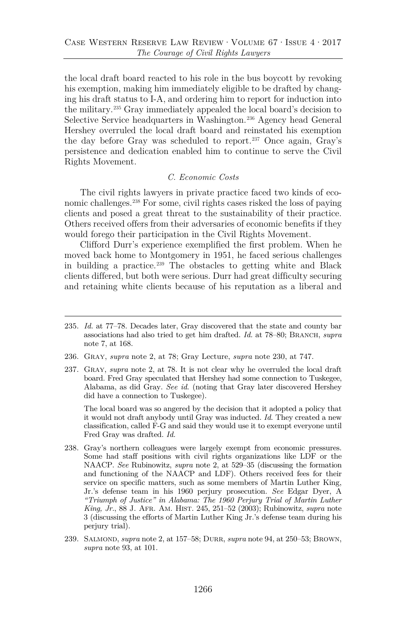the local draft board reacted to his role in the bus boycott by revoking his exemption, making him immediately eligible to be drafted by changing his draft status to I-A, and ordering him to report for induction into the military.[235](#page-40-2) Gray immediately appealed the local board's decision to Selective Service headquarters in Washington.<sup>[236](#page-40-3)</sup> Agency head General Hershey overruled the local draft board and reinstated his exemption the day before Gray was scheduled to report.[237](#page-40-4) Once again, Gray's persistence and dedication enabled him to continue to serve the Civil Rights Movement.

#### *C. Economic Costs*

The civil rights lawyers in private practice faced two kinds of economic challenges[.238](#page-40-5) For some, civil rights cases risked the loss of paying clients and posed a great threat to the sustainability of their practice. Others received offers from their adversaries of economic benefits if they would forego their participation in the Civil Rights Movement.

Clifford Durr's experience exemplified the first problem. When he moved back home to Montgomery in 1951, he faced serious challenges in building a practice. $239$  The obstacles to getting white and Black clients differed, but both were serious. Durr had great difficulty securing and retaining white clients because of his reputation as a liberal and

- <span id="page-40-0"></span>235. *Id.* at 77–78. Decades later, Gray discovered that the state and county bar associations had also tried to get him drafted. *Id.* at 78–80; BRANCH, *supra* note [7,](#page-3-4) at 168.
- <span id="page-40-1"></span>236. Gray, *supra* note [2,](#page-2-2) at 78; Gray Lecture, *supra* note [230,](#page-39-2) at 747.
- <span id="page-40-3"></span><span id="page-40-2"></span>237. Gray, *supra* note [2,](#page-2-2) at 78. It is not clear why he overruled the local draft board. Fred Gray speculated that Hershey had some connection to Tuskegee, Alabama, as did Gray. *See id.* (noting that Gray later discovered Hershey did have a connection to Tuskegee).

The local board was so angered by the decision that it adopted a policy that it would not draft anybody until Gray was inducted. *Id.* They created a new classification, called F-G and said they would use it to exempt everyone until Fred Gray was drafted. *Id.*

- <span id="page-40-5"></span><span id="page-40-4"></span>238. Gray's northern colleagues were largely exempt from economic pressures. Some had staff positions with civil rights organizations like LDF or the NAACP. *See* Rubinowitz, *supra* note [2,](#page-2-2) at 529–35 (discussing the formation and functioning of the NAACP and LDF). Others received fees for their service on specific matters, such as some members of Martin Luther King, Jr.'s defense team in his 1960 perjury prosecution. *See* Edgar Dyer, A *"Triumph of Justice" in Alabama: The 1960 Perjury Trial of Martin Luther King, Jr.*, 88 J. Afr. Am. Hist. 245, 251–52 (2003); Rubinowitz, *supra* note [3](#page-2-3) (discussing the efforts of Martin Luther King Jr.'s defense team during his perjury trial).
- 239. Salmond, *supra* not[e 2,](#page-2-2) at 157–58; Durr, *supra* not[e 94,](#page-21-12) at 250–53; Brown, *supra* note [93,](#page-21-4) at 101.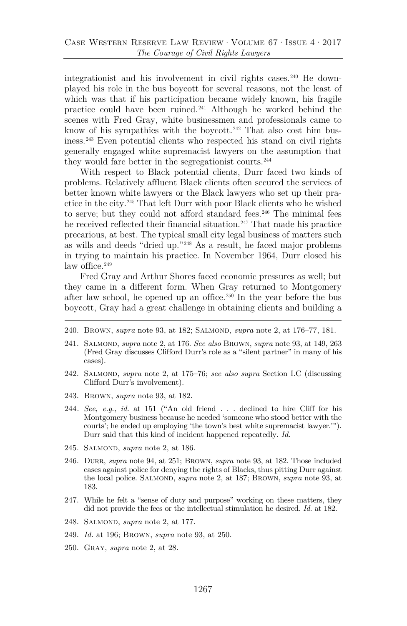integrationist and his involvement in civil rights cases.<sup>[240](#page-41-1)</sup> He downplayed his role in the bus boycott for several reasons, not the least of which was that if his participation became widely known, his fragile practice could have been ruined.[241](#page-41-2) Although he worked behind the scenes with Fred Gray, white businessmen and professionals came to know of his sympathies with the boycott.<sup>[242](#page-41-3)</sup> That also cost him business.[243](#page-41-4) Even potential clients who respected his stand on civil rights generally engaged white supremacist lawyers on the assumption that they would fare better in the segregationist courts[.244](#page-41-5)

With respect to Black potential clients, Durr faced two kinds of problems. Relatively affluent Black clients often secured the services of better known white lawyers or the Black lawyers who set up their practice in the city.[245](#page-41-6) That left Durr with poor Black clients who he wished to serve; but they could not afford standard fees.<sup>[246](#page-41-7)</sup> The minimal fees he received reflected their financial situation.<sup>[247](#page-42-1)</sup> That made his practice precarious, at best. The typical small city legal business of matters such as wills and deeds "dried up."[248](#page-42-2) As a result, he faced major problems in trying to maintain his practice. In November 1964, Durr closed his law office. $249$ 

Fred Gray and Arthur Shores faced economic pressures as well; but they came in a different form. When Gray returned to Montgomery after law school, he opened up an office.[250](#page-42-4) In the year before the bus boycott, Gray had a great challenge in obtaining clients and building a

- 240. BROWN, *supra* note [93,](#page-21-4) at 182; SALMOND, *supra* note [2,](#page-2-2) at 176–77, 181.
- 241. Salmond, *supra* not[e 2,](#page-2-2) at 176. *See also* Brown, *supra* note [93,](#page-21-4) at 149, 263 (Fred Gray discusses Clifford Durr's role as a "silent partner" in many of his cases).
- <span id="page-41-0"></span>242. Salmond, *supra* note [2,](#page-2-2) at 175–76; *see also supra* Section I.C (discussing Clifford Durr's involvement).
- <span id="page-41-2"></span><span id="page-41-1"></span>243. Brown, *supra* note [93,](#page-21-4) at 182.
- 244*. See, e.g.*, *id.* at 151 ("An old friend . . . declined to hire Cliff for his Montgomery business because he needed 'someone who stood better with the courts'; he ended up employing 'the town's best white supremacist lawyer.'"). Durr said that this kind of incident happened repeatedly. *Id.*
- <span id="page-41-4"></span><span id="page-41-3"></span>245. Salmond, *supra* note [2,](#page-2-2) at 186.
- <span id="page-41-5"></span>246. Durr, *supra* note [94,](#page-21-12) at 251; Brown, *supra* note [93,](#page-21-4) at 182. Those included cases against police for denying the rights of Blacks, thus pitting Durr against the local police. SALMOND, *supra* note [2,](#page-2-2) at 187; BROWN, *supra* note [93,](#page-21-4) at 183.
- <span id="page-41-6"></span>247. While he felt a "sense of duty and purpose" working on these matters, they did not provide the fees or the intellectual stimulation he desired. *Id.* at 182.
- <span id="page-41-7"></span>248. Salmond, *supra* note [2,](#page-2-2) at 177.
- 249. *Id.* at 196; Brown, *supra* note [93,](#page-21-4) at 250.
- 250. Gray, *supra* note [2,](#page-2-2) at 28.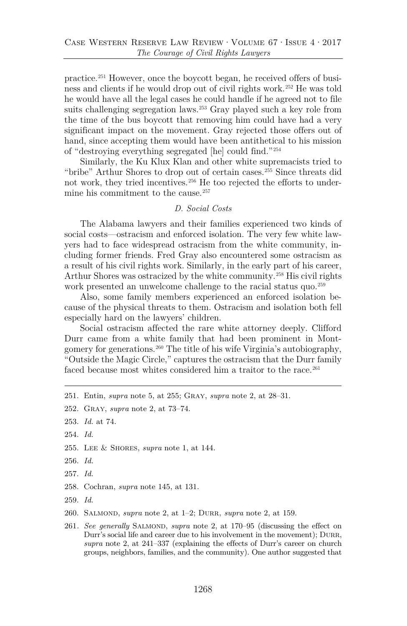practice.[251](#page-42-5) However, once the boycott began, he received offers of business and clients if he would drop out of civil rights work.[252](#page-42-6) He was told he would have all the legal cases he could handle if he agreed not to file suits challenging segregation laws.<sup>[253](#page-42-7)</sup> Gray played such a key role from the time of the bus boycott that removing him could have had a very significant impact on the movement. Gray rejected those offers out of hand, since accepting them would have been antithetical to his mission of "destroying everything segregated [he] could find."[254](#page-42-8)

Similarly, the Ku Klux Klan and other white supremacists tried to "bribe" Arthur Shores to drop out of certain cases.[255](#page-42-9) Since threats did not work, they tried incentives.<sup>[256](#page-42-10)</sup> He too rejected the efforts to under-mine his commitment to the cause.<sup>[257](#page-42-11)</sup>

#### <span id="page-42-0"></span>*D. Social Costs*

The Alabama lawyers and their families experienced two kinds of social costs—ostracism and enforced isolation. The very few white lawyers had to face widespread ostracism from the white community, including former friends. Fred Gray also encountered some ostracism as a result of his civil rights work. Similarly, in the early part of his career, Arthur Shores was ostracized by the white community.[258](#page-43-0) His civil rights work presented an unwelcome challenge to the racial status quo.<sup>[259](#page-43-1)</sup>

Also, some family members experienced an enforced isolation because of the physical threats to them. Ostracism and isolation both fell especially hard on the lawyers' children.

Social ostracism affected the rare white attorney deeply. Clifford Durr came from a white family that had been prominent in Montgomery for generations.[260](#page-43-2) The title of his wife Virginia's autobiography, "Outside the Magic Circle," captures the ostracism that the Durr family faced because most whites considered him a traitor to the race.<sup>[261](#page-43-3)</sup>

<span id="page-42-4"></span>255. Lee & Shores, *supra* note [1,](#page-1-2) at 144.

<span id="page-42-6"></span>257. *Id.*

<span id="page-42-8"></span>259. *Id.*

<sup>251.</sup> Entin, *supra* note [5,](#page-3-5) at 255; Gray, *supra* note [2,](#page-2-2) at 28–31.

<span id="page-42-1"></span><sup>252.</sup> Gray, *supra* note [2,](#page-2-2) at 73–74.

<span id="page-42-2"></span><sup>253.</sup> *Id.* at 74.

<span id="page-42-3"></span><sup>254.</sup> *Id.*

<span id="page-42-5"></span><sup>256.</sup> *Id.*

<span id="page-42-7"></span><sup>258.</sup> Cochran, *supra* note [145,](#page-27-4) at 131.

<span id="page-42-9"></span><sup>260.</sup> Salmond, *supra* note [2,](#page-2-2) at 1–2; Durr, *supra* note [2,](#page-2-2) at 159.

<span id="page-42-11"></span><span id="page-42-10"></span><sup>261.</sup> See generally SALMOND, *supra* note [2,](#page-2-2) at 170–95 (discussing the effect on Durr's social life and career due to his involvement in the movement); DURR, *supra* note [2,](#page-2-2) at 241–337 (explaining the effects of Durr's career on church groups, neighbors, families, and the community). One author suggested that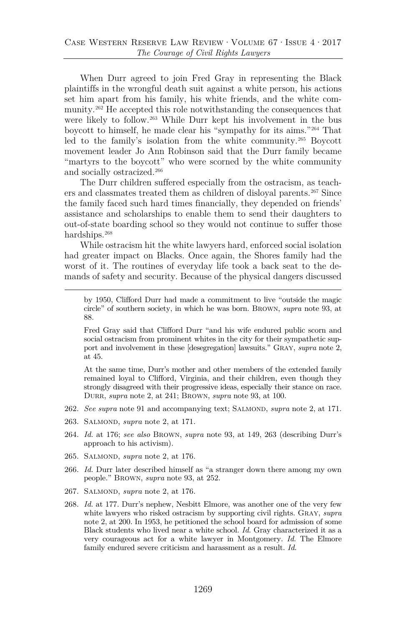When Durr agreed to join Fred Gray in representing the Black plaintiffs in the wrongful death suit against a white person, his actions set him apart from his family, his white friends, and the white com-munity.<sup>[262](#page-43-4)</sup> He accepted this role notwithstanding the consequences that were likely to follow.<sup>[263](#page-43-5)</sup> While Durr kept his involvement in the bus boycott to himself, he made clear his "sympathy for its aims."[264](#page-43-6) That led to the family's isolation from the white community.[265](#page-43-7) Boycott movement leader Jo Ann Robinson said that the Durr family became "martyrs to the boycott" who were scorned by the white community and socially ostracized[.266](#page-44-1)

The Durr children suffered especially from the ostracism, as teachers and classmates treated them as children of disloyal parents.[267](#page-44-2) Since the family faced such hard times financially, they depended on friends' assistance and scholarships to enable them to send their daughters to out-of-state boarding school so they would not continue to suffer those hardships.<sup>268</sup>

While ostracism hit the white lawyers hard, enforced social isolation had greater impact on Blacks. Once again, the Shores family had the worst of it. The routines of everyday life took a back seat to the demands of safety and security. Because of the physical dangers discussed

by 1950, Clifford Durr had made a commitment to live "outside the magic circle" of southern society, in which he was born. Brown, *supra* note [93,](#page-21-4) at 88.

<span id="page-43-2"></span><span id="page-43-1"></span><span id="page-43-0"></span>Fred Gray said that Clifford Durr "and his wife endured public scorn and social ostracism from prominent whites in the city for their sympathetic support and involvement in these [desegregation] lawsuits." Gray, *supra* note [2,](#page-2-2) at 45.

At the same time, Durr's mother and other members of the extended family remained loyal to Clifford, Virginia, and their children, even though they strongly disagreed with their progressive ideas, especially their stance on race. Durr, *supra* note [2,](#page-2-2) at 241; Brown, *supra* note [93,](#page-21-4) at 100.

- <span id="page-43-3"></span>262. *See supra* note [91](#page-21-13) and accompanying text; SALMOND, *supra* note [2,](#page-2-2) at 171.
- 263. Salmond, *supra* note [2,](#page-2-2) at 171.
- 264. *Id.* at 176; *see also* Brown, *supra* note [93,](#page-21-4) at 149, 263 (describing Durr's approach to his activism).
- 265. Salmond, *supra* note [2,](#page-2-2) at 176.
- 266. *Id.* Durr later described himself as "a stranger down there among my own people." Brown, *supra* note [93,](#page-21-4) at 252.
- <span id="page-43-4"></span>267. Salmond, *supra* note [2,](#page-2-2) at 176.
- <span id="page-43-7"></span><span id="page-43-6"></span><span id="page-43-5"></span>268. *Id.* at 177. Durr's nephew, Nesbitt Elmore, was another one of the very few white lawyers who risked ostracism by supporting civil rights. Gray, *supra* note [2,](#page-2-2) at 200. In 1953, he petitioned the school board for admission of some Black students who lived near a white school. *Id.* Gray characterized it as a very courageous act for a white lawyer in Montgomery. *Id.* The Elmore family endured severe criticism and harassment as a result. *Id.*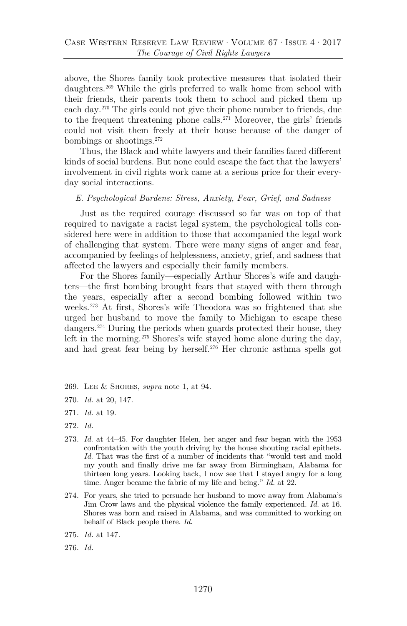above, the Shores family took protective measures that isolated their daughters.[269](#page-44-4) While the girls preferred to walk home from school with their friends, their parents took them to school and picked them up each day. [270](#page-44-5) The girls could not give their phone number to friends, due to the frequent threatening phone calls.<sup>[271](#page-44-6)</sup> Moreover, the girls' friends could not visit them freely at their house because of the danger of bombings or shootings.[272](#page-44-7)

Thus, the Black and white lawyers and their families faced different kinds of social burdens. But none could escape the fact that the lawyers' involvement in civil rights work came at a serious price for their everyday social interactions.

#### *E. Psychological Burdens: Stress, Anxiety, Fear, Grief, and Sadness*

Just as the required courage discussed so far was on top of that required to navigate a racist legal system, the psychological tolls considered here were in addition to those that accompanied the legal work of challenging that system. There were many signs of anger and fear, accompanied by feelings of helplessness, anxiety, grief, and sadness that affected the lawyers and especially their family members.

<span id="page-44-0"></span>For the Shores family—especially Arthur Shores's wife and daughters—the first bombing brought fears that stayed with them through the years, especially after a second bombing followed within two weeks.[273](#page-45-1) At first, Shores's wife Theodora was so frightened that she urged her husband to move the family to Michigan to escape these dangers.[274](#page-45-2) During the periods when guards protected their house, they left in the morning.<sup>[275](#page-45-3)</sup> Shores's wife stayed home alone during the day, and had great fear being by herself.[276](#page-45-4) Her chronic asthma spells got

- <span id="page-44-1"></span>271. *Id.* at 19.
- 272. *Id.*
- <span id="page-44-3"></span><span id="page-44-2"></span>273. *Id.* at 44–45. For daughter Helen, her anger and fear began with the 1953 confrontation with the youth driving by the house shouting racial epithets. *Id.* That was the first of a number of incidents that "would test and mold my youth and finally drive me far away from Birmingham, Alabama for thirteen long years. Looking back, I now see that I stayed angry for a long time. Anger became the fabric of my life and being." *Id.* at 22.
- <span id="page-44-4"></span>274. For years, she tried to persuade her husband to move away from Alabama's Jim Crow laws and the physical violence the family experienced. *Id.* at 16. Shores was born and raised in Alabama, and was committed to working on behalf of Black people there. *Id.*
- <span id="page-44-6"></span><span id="page-44-5"></span>275. *Id.* at 147.
- <span id="page-44-7"></span>276. *Id.*

<sup>269.</sup> Lee & Shores, *supra* note [1,](#page-1-2) at 94.

<sup>270.</sup> *Id.* at 20, 147.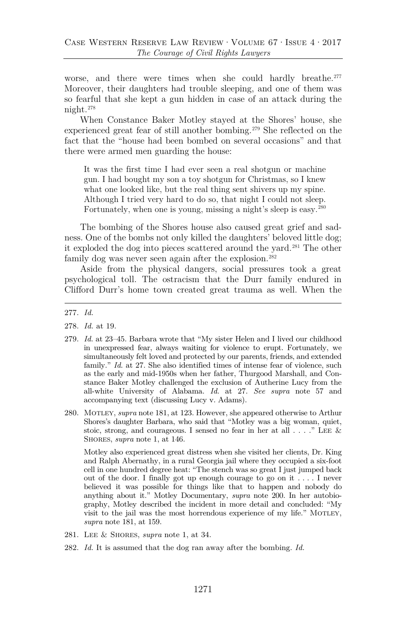worse, and there were times when she could hardly breathe.<sup>[277](#page-45-5)</sup> Moreover, their daughters had trouble sleeping, and one of them was so fearful that she kept a gun hidden in case of an attack during the night.[278](#page-45-6)

When Constance Baker Motley stayed at the Shores' house, she experienced great fear of still another bombing.[279](#page-45-7) She reflected on the fact that the "house had been bombed on several occasions" and that there were armed men guarding the house:

<span id="page-45-0"></span>It was the first time I had ever seen a real shotgun or machine gun. I had bought my son a toy shotgun for Christmas, so I knew what one looked like, but the real thing sent shivers up my spine. Although I tried very hard to do so, that night I could not sleep. Fortunately, when one is young, missing a night's sleep is easy.[280](#page-46-0)

The bombing of the Shores house also caused great grief and sadness. One of the bombs not only killed the daughters' beloved little dog; it exploded the dog into pieces scattered around the yard.<sup>[281](#page-46-1)</sup> The other family dog was never seen again after the explosion.<sup>282</sup>

Aside from the physical dangers, social pressures took a great psychological toll. The ostracism that the Durr family endured in Clifford Durr's home town created great trauma as well. When the

- 278. *Id.* at 19.
- <span id="page-45-1"></span>279. *Id.* at 23–45. Barbara wrote that "My sister Helen and I lived our childhood in unexpressed fear, always waiting for violence to erupt. Fortunately, we simultaneously felt loved and protected by our parents, friends, and extended family." *Id.* at 27. She also identified times of intense fear of violence, such as the early and mid-1950s when her father, Thurgood Marshall, and Constance Baker Motley challenged the exclusion of Autherine Lucy from the all-white University of Alabama. *Id.* at 27. *See supra* note [57](#page-16-9) and accompanying text (discussing Lucy v. Adams).
- <span id="page-45-5"></span><span id="page-45-4"></span><span id="page-45-3"></span><span id="page-45-2"></span>280. Motley, *supra* not[e 181,](#page-31-0) at 123. However, she appeared otherwise to Arthur Shores's daughter Barbara, who said that "Motley was a big woman, quiet, stoic, strong, and courageous. I sensed no fear in her at all  $\ldots$ ." LEE & Shores, *supra* note [1,](#page-1-2) at 146.

<span id="page-45-6"></span>Motley also experienced great distress when she visited her clients, Dr. King and Ralph Abernathy, in a rural Georgia jail where they occupied a six-foot cell in one hundred degree heat: "The stench was so great I just jumped back out of the door. I finally got up enough courage to go on it . . . . I never believed it was possible for things like that to happen and nobody do anything about it." Motley Documentary, *supra* note [200.](#page-33-6) In her autobiography, Motley described the incident in more detail and concluded: "My visit to the jail was the most horrendous experience of my life." MOTLEY, *supra* note [181,](#page-31-0) at 159.

- <span id="page-45-7"></span>281. Lee & Shores, *supra* note [1,](#page-1-2) at 34.
- 282. *Id.* It is assumed that the dog ran away after the bombing. *Id.*

<sup>277.</sup> *Id.*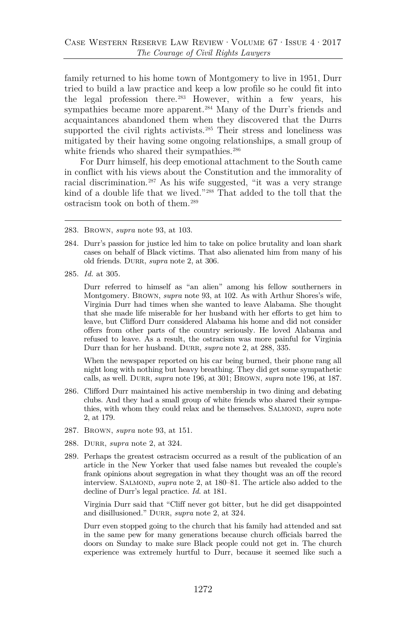family returned to his home town of Montgomery to live in 1951, Durr tried to build a law practice and keep a low profile so he could fit into the legal profession there.[283](#page-46-3) However, within a few years, his sympathies became more apparent.<sup>[284](#page-46-4)</sup> Many of the Durr's friends and acquaintances abandoned them when they discovered that the Durrs supported the civil rights activists.<sup>[285](#page-46-5)</sup> Their stress and loneliness was mitigated by their having some ongoing relationships, a small group of white friends who shared their sympathies.<sup>[286](#page-47-1)</sup>

For Durr himself, his deep emotional attachment to the South came in conflict with his views about the Constitution and the immorality of racial discrimination.[287](#page-47-2) As his wife suggested, "it was a very strange kind of a double life that we lived."[288](#page-47-3) That added to the toll that the ostracism took on both of them.[289](#page-47-4)

- 283. Brown, *supra* note [93,](#page-21-4) at 103.
- 284. Durr's passion for justice led him to take on police brutality and loan shark cases on behalf of Black victims. That also alienated him from many of his old friends. DURR, *supra* note [2,](#page-2-2) at 306.
- <span id="page-46-0"></span>285. *Id.* at 305.

Durr referred to himself as "an alien" among his fellow southerners in Montgomery. Brown, *supra* note [93,](#page-21-4) at 102. As with Arthur Shores's wife, Virginia Durr had times when she wanted to leave Alabama. She thought that she made life miserable for her husband with her efforts to get him to leave, but Clifford Durr considered Alabama his home and did not consider offers from other parts of the country seriously. He loved Alabama and refused to leave. As a result, the ostracism was more painful for Virginia Durr than for her husband. DURR, *supra* note [2,](#page-2-2) at 288, 335.

When the newspaper reported on his car being burned, their phone rang all night long with nothing but heavy breathing. They did get some sympathetic calls, as well. Durr, *supra* note [196,](#page-32-12) at 301; Brown, *supra* note [196,](#page-32-12) at 187.

- <span id="page-46-1"></span>286. Clifford Durr maintained his active membership in two dining and debating clubs. And they had a small group of white friends who shared their sympathies, with whom they could relax and be themselves. SALMOND, *supra* note [2,](#page-2-2) at 179.
- <span id="page-46-3"></span><span id="page-46-2"></span>287. Brown, *supra* note [93,](#page-21-4) at 151.
- <span id="page-46-4"></span>288. Durr, *supra* note [2,](#page-2-2) at 324.
- <span id="page-46-5"></span>289. Perhaps the greatest ostracism occurred as a result of the publication of an article in the New Yorker that used false names but revealed the couple's frank opinions about segregation in what they thought was an off the record interview. SALMOND, *supra* note [2,](#page-2-2) at 180–81. The article also added to the decline of Durr's legal practice. *Id.* at 181.

Virginia Durr said that "Cliff never got bitter, but he did get disappointed and disillusioned." DURR, *supra* note [2,](#page-2-2) at 324.

Durr even stopped going to the church that his family had attended and sat in the same pew for many generations because church officials barred the doors on Sunday to make sure Black people could not get in. The church experience was extremely hurtful to Durr, because it seemed like such a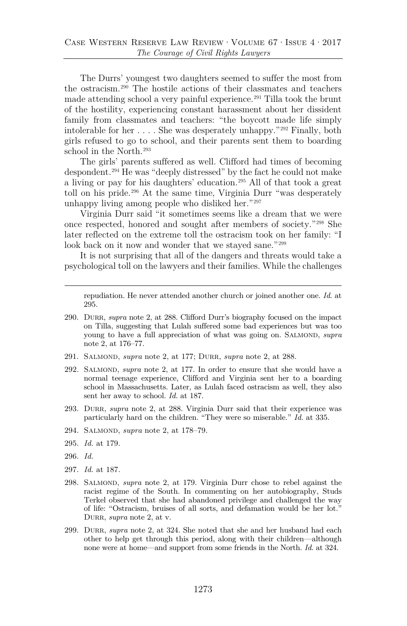The Durrs' youngest two daughters seemed to suffer the most from the ostracism.[290](#page-47-5) The hostile actions of their classmates and teachers made attending school a very painful experience.[291](#page-47-6) Tilla took the brunt of the hostility, experiencing constant harassment about her dissident family from classmates and teachers: "the boycott made life simply intolerable for her . . . . She was desperately unhappy."[292](#page-47-7) Finally, both girls refused to go to school, and their parents sent them to boarding school in the North.<sup>[293](#page-48-0)</sup>

The girls' parents suffered as well. Clifford had times of becoming despondent[.294](#page-48-1) He was "deeply distressed" by the fact he could not make a living or pay for his daughters' education.[295](#page-48-2) All of that took a great toll on his pride.[296](#page-48-3) At the same time, Virginia Durr "was desperately unhappy living among people who disliked her."[297](#page-48-4)

Virginia Durr said "it sometimes seems like a dream that we were once respected, honored and sought after members of society."[298](#page-48-5) She later reflected on the extreme toll the ostracism took on her family: "I look back on it now and wonder that we stayed sane."<sup>[299](#page-48-6)</sup>

<span id="page-47-1"></span>It is not surprising that all of the dangers and threats would take a psychological toll on the lawyers and their families. While the challenges

<span id="page-47-0"></span>repudiation. He never attended another church or joined another one. *Id.* at 295.

- <span id="page-47-3"></span><span id="page-47-2"></span>290. Durr, *supra* note [2,](#page-2-2) at 288. Clifford Durr's biography focused on the impact on Tilla, suggesting that Lulah suffered some bad experiences but was too young to have a full appreciation of what was going on. SALMOND, *supra* note [2,](#page-2-2) at 176–77.
- <span id="page-47-4"></span>291. Salmond, *supra* note [2,](#page-2-2) at 177; Durr, *supra* note [2,](#page-2-2) at 288.
- 292. Salmond, *supra* note [2,](#page-2-2) at 177. In order to ensure that she would have a normal teenage experience, Clifford and Virginia sent her to a boarding school in Massachusetts. Later, as Lulah faced ostracism as well, they also sent her away to school. *Id.* at 187.
- 293. Durr, *supra* note [2,](#page-2-2) at 288. Virginia Durr said that their experience was particularly hard on the children. "They were so miserable." *Id.* at 335.
- 294. Salmond, *supra* note [2,](#page-2-2) at 178–79.
- 295. *Id.* at 179.
- 296. *Id.*
- <span id="page-47-5"></span>297. *Id.* at 187.
- <span id="page-47-6"></span>298. Salmond, *supra* note [2,](#page-2-2) at 179. Virginia Durr chose to rebel against the racist regime of the South. In commenting on her autobiography, Studs Terkel observed that she had abandoned privilege and challenged the way of life: "Ostracism, bruises of all sorts, and defamation would be her lot." DURR, *supra* note [2,](#page-2-2) at v.
- <span id="page-47-7"></span>299. DURR, *supra* note [2,](#page-2-2) at 324. She noted that she and her husband had each other to help get through this period, along with their children—although none were at home—and support from some friends in the North. *Id.* at 324.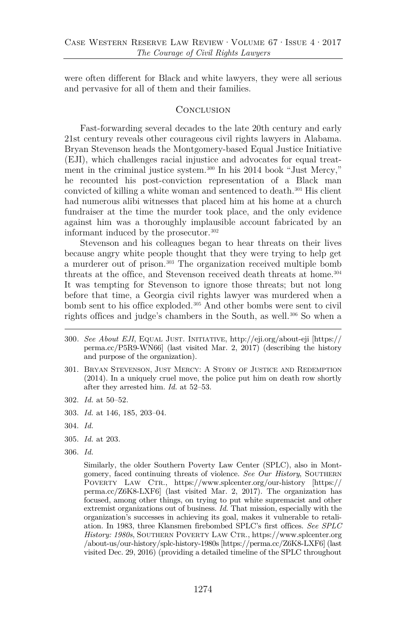were often different for Black and white lawyers, they were all serious and pervasive for all of them and their families.

#### <span id="page-48-8"></span>**CONCLUSION**

Fast-forwarding several decades to the late 20th century and early 21st century reveals other courageous civil rights lawyers in Alabama. Bryan Stevenson heads the Montgomery-based Equal Justice Initiative (EJI), which challenges racial injustice and advocates for equal treatment in the criminal justice system.[300](#page-48-7) In his 2014 book "Just Mercy," he recounted his post-conviction representation of a Black man convicted of killing a white woman and sentenced to death.[301](#page-49-0) His client had numerous alibi witnesses that placed him at his home at a church fundraiser at the time the murder took place, and the only evidence against him was a thoroughly implausible account fabricated by an informant induced by the prosecutor.[302](#page-49-1)

Stevenson and his colleagues began to hear threats on their lives because angry white people thought that they were trying to help get a murderer out of prison[.303](#page-49-2) The organization received multiple bomb threats at the office, and Stevenson received death threats at home.<sup>304</sup> It was tempting for Stevenson to ignore those threats; but not long before that time, a Georgia civil rights lawyer was murdered when a bomb sent to his office exploded.[305](#page-49-4) And other bombs were sent to civil rights offices and judge's chambers in the South, as well.<sup>[306](#page-49-5)</sup> So when a

- 300*. See About EJI*, Equal Just. Initiative, http://eji.org/about-eji [https:// perma.cc/P5R9-WN66] (last visited Mar. 2, 2017) (describing the history and purpose of the organization).
- <span id="page-48-0"></span>301. Bryan Stevenson, Just Mercy: A Story of Justice and Redemption (2014). In a uniquely cruel move, the police put him on death row shortly after they arrested him. *Id.* at 52–53.
- <span id="page-48-1"></span>302. *Id.* at 50–52.
- <span id="page-48-2"></span>303. *Id.* at 146, 185, 203–04.
- <span id="page-48-3"></span>304. *Id.*
- <span id="page-48-4"></span>305. *Id.* at 203.
- <span id="page-48-7"></span><span id="page-48-6"></span><span id="page-48-5"></span>306. *Id.*

Similarly, the older Southern Poverty Law Center (SPLC), also in Montgomery, faced continuing threats of violence. See Our History, SOUTHERN POVERTY LAW CTR., https://www.splcenter.org/our-history [https:// perma.cc/Z6K8-LXF6] (last visited Mar. 2, 2017). The organization has focused, among other things, on trying to put white supremacist and other extremist organizations out of business. *Id.* That mission, especially with the organization's successes in achieving its goal, makes it vulnerable to retaliation. In 1983, three Klansmen firebombed SPLC's first offices. *See SPLC*  History: 1980s, SOUTHERN POVERTY LAW CTR., https://www.splcenter.org /about-us/our-history/splc-history-1980s [https://perma.cc/Z6K8-LXF6] (last visited Dec. 29, 2016) (providing a detailed timeline of the SPLC throughout